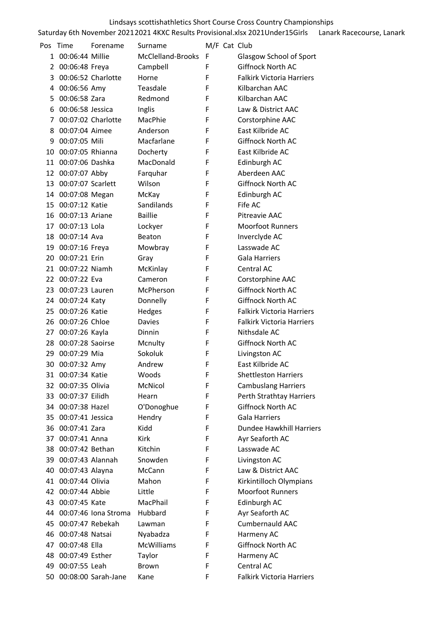| Pos | Time                | Forename                | Surname           |   | M/F Cat Club                     |
|-----|---------------------|-------------------------|-------------------|---|----------------------------------|
| 1   | 00:06:44 Millie     |                         | McClelland-Brooks | F | Glasgow School of Sport          |
| 2   | 00:06:48 Freya      |                         | Campbell          | F | Giffnock North AC                |
| 3   |                     | 00:06:52 Charlotte      | Horne             | F | <b>Falkirk Victoria Harriers</b> |
| 4   | 00:06:56 Amy        |                         | Teasdale          | F | Kilbarchan AAC                   |
| 5   | 00:06:58 Zara       |                         | Redmond           | F | Kilbarchan AAC                   |
| 6   | 00:06:58 Jessica    |                         | Inglis            | F | Law & District AAC               |
| 7   |                     | 00:07:02 Charlotte      | MacPhie           | F | Corstorphine AAC                 |
| 8   | 00:07:04 Aimee      |                         | Anderson          | F | East Kilbride AC                 |
| 9   | 00:07:05 Mili       |                         | Macfarlane        | F | Giffnock North AC                |
| 10  | 00:07:05 Rhianna    |                         | Docherty          | F | East Kilbride AC                 |
|     | 11 00:07:06 Dashka  |                         | MacDonald         | F | Edinburgh AC                     |
|     | 12 00:07:07 Abby    |                         | Farquhar          | F | Aberdeen AAC                     |
| 13  | 00:07:07 Scarlett   |                         | Wilson            | F | Giffnock North AC                |
|     | 14 00:07:08 Megan   |                         | McKay             | F | Edinburgh AC                     |
|     | 15 00:07:12 Katie   |                         | Sandilands        | F | Fife AC                          |
|     | 16 00:07:13 Ariane  |                         | <b>Baillie</b>    | F | Pitreavie AAC                    |
| 17  | 00:07:13 Lola       |                         | Lockyer           | F | <b>Moorfoot Runners</b>          |
| 18  | 00:07:14 Ava        |                         | Beaton            | F | Inverclyde AC                    |
|     | 19 00:07:16 Freya   |                         | Mowbray           | F | Lasswade AC                      |
|     | 20 00:07:21 Erin    |                         | Gray              | F | <b>Gala Harriers</b>             |
|     | 21 00:07:22 Niamh   |                         | McKinlay          | F | Central AC                       |
|     | 22 00:07:22 Eva     |                         | Cameron           | F | Corstorphine AAC                 |
|     | 23 00:07:23 Lauren  |                         | McPherson         | F | Giffnock North AC                |
|     | 24 00:07:24 Katy    |                         | Donnelly          | F | Giffnock North AC                |
|     | 25 00:07:26 Katie   |                         | Hedges            | F | <b>Falkirk Victoria Harriers</b> |
|     | 26 00:07:26 Chloe   |                         | Davies            | F | <b>Falkirk Victoria Harriers</b> |
|     | 27 00:07:26 Kayla   |                         | Dinnin            | F | Nithsdale AC                     |
| 28  | 00:07:28 Saoirse    |                         | Mcnulty           | F | Giffnock North AC                |
| 29. | 00:07:29 Mia        |                         | Sokoluk           | F | Livingston AC                    |
|     | 30 00:07:32 Amy     |                         | Andrew            | F | East Kilbride AC                 |
|     | 31 00:07:34 Katie   |                         | Woods             | ۲ | <b>Shettleston Harriers</b>      |
|     | 32 00:07:35 Olivia  |                         | McNicol           | F | <b>Cambuslang Harriers</b>       |
|     | 33 00:07:37 Eilidh  |                         | Hearn             | F | Perth Strathtay Harriers         |
|     | 34 00:07:38 Hazel   |                         | O'Donoghue        | F | Giffnock North AC                |
|     | 35 00:07:41 Jessica |                         | Hendry            | F | <b>Gala Harriers</b>             |
|     | 36 00:07:41 Zara    |                         | Kidd              | F | Dundee Hawkhill Harriers         |
| 37  | 00:07:41 Anna       |                         | Kirk              | F | Ayr Seaforth AC                  |
|     | 38 00:07:42 Bethan  |                         | Kitchin           | F | Lasswade AC                      |
|     | 39 00:07:43 Alannah |                         | Snowden           | F | Livingston AC                    |
|     | 40 00:07:43 Alayna  |                         | McCann            | F | Law & District AAC               |
|     | 41 00:07:44 Olivia  |                         | Mahon             | F | Kirkintilloch Olympians          |
|     | 42 00:07:44 Abbie   |                         | Little            | F | <b>Moorfoot Runners</b>          |
|     | 43 00:07:45 Kate    |                         | MacPhail          | F | Edinburgh AC                     |
|     |                     | 44 00:07:46 Iona Stroma | Hubbard           | F | Ayr Seaforth AC                  |
|     | 45 00:07:47 Rebekah |                         | Lawman            | F | <b>Cumbernauld AAC</b>           |
| 46  | 00:07:48 Natsai     |                         | Nyabadza          | F | Harmeny AC                       |
| 47  | 00:07:48 Ella       |                         | <b>McWilliams</b> | F | Giffnock North AC                |
|     | 48 00:07:49 Esther  |                         | Taylor            | F | Harmeny AC                       |
|     | 49 00:07:55 Leah    |                         | <b>Brown</b>      | F | Central AC                       |
|     |                     | 50 00:08:00 Sarah-Jane  | Kane              | F | Falkirk Victoria Harriers        |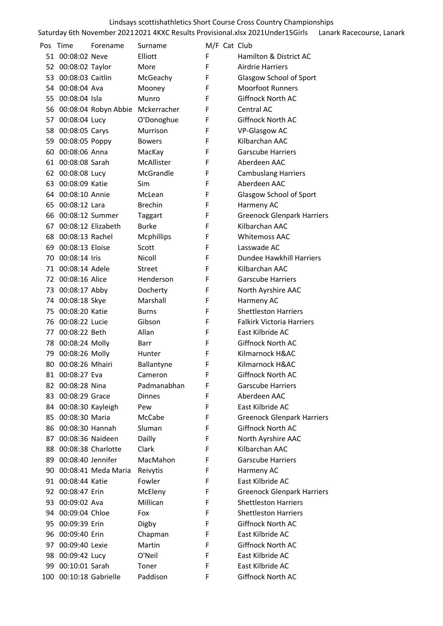# Saturday 6th November 2021 2021 4KXC Results Provisional.xlsx 2021Under15Girls Lanark Racecourse, Lanark Lindsays scottishathletics Short Course Cross Country Championships

| Pos | Time                   | Forename                            | Surname           | M/F Cat Club |                                   |
|-----|------------------------|-------------------------------------|-------------------|--------------|-----------------------------------|
|     | 51 00:08:02 Neve       |                                     | Elliott           | F            | Hamilton & District AC            |
|     | 52 00:08:02 Taylor     |                                     | More              | F            | <b>Airdrie Harriers</b>           |
|     | 53 00:08:03 Caitlin    |                                     | McGeachy          | F            | Glasgow School of Sport           |
|     | 54 00:08:04 Ava        |                                     | Mooney            | F            | <b>Moorfoot Runners</b>           |
|     | 55 00:08:04 Isla       |                                     | Munro             | F            | Giffnock North AC                 |
|     |                        | 56 00:08:04 Robyn Abbie Mckerracher |                   | F            | Central AC                        |
|     | 57 00:08:04 Lucy       |                                     | O'Donoghue        | F            | <b>Giffnock North AC</b>          |
|     | 58 00:08:05 Carys      |                                     | Murrison          | F            | VP-Glasgow AC                     |
|     | 59 00:08:05 Poppy      |                                     | <b>Bowers</b>     | F            | Kilbarchan AAC                    |
|     | 60 00:08:06 Anna       |                                     | MacKay            | F            | <b>Garscube Harriers</b>          |
|     | 61 00:08:08 Sarah      |                                     | McAllister        | F            | Aberdeen AAC                      |
|     | 62 00:08:08 Lucy       |                                     | McGrandle         | F            | <b>Cambuslang Harriers</b>        |
|     | 63 00:08:09 Katie      |                                     | <b>Sim</b>        | F            | Aberdeen AAC                      |
|     | 64 00:08:10 Annie      |                                     | McLean            | F            | Glasgow School of Sport           |
|     | 65 00:08:12 Lara       |                                     | <b>Brechin</b>    | F            | Harmeny AC                        |
|     | 66 00:08:12 Summer     |                                     | <b>Taggart</b>    | F            | <b>Greenock Glenpark Harriers</b> |
|     | 67 00:08:12 Elizabeth  |                                     | <b>Burke</b>      | F            | Kilbarchan AAC                    |
|     | 68 00:08:13 Rachel     |                                     | <b>Mcphillips</b> | F            | <b>Whitemoss AAC</b>              |
|     | 69 00:08:13 Eloise     |                                     | Scott             | F            | Lasswade AC                       |
|     | 70 00:08:14 Iris       |                                     | Nicoll            | F            | Dundee Hawkhill Harriers          |
|     | 71 00:08:14 Adele      |                                     | Street            | F            | Kilbarchan AAC                    |
|     | 72 00:08:16 Alice      |                                     | Henderson         | F            | <b>Garscube Harriers</b>          |
|     | 73 00:08:17 Abby       |                                     | Docherty          | F            | North Ayrshire AAC                |
|     | 74 00:08:18 Skye       |                                     | Marshall          | F            | Harmeny AC                        |
|     | 75 00:08:20 Katie      |                                     | Burns             | F            | <b>Shettleston Harriers</b>       |
|     | 76 00:08:22 Lucie      |                                     | Gibson            | F            | <b>Falkirk Victoria Harriers</b>  |
|     | 77 00:08:22 Beth       |                                     | Allan             | F            | East Kilbride AC                  |
|     | 78 00:08:24 Molly      |                                     | Barr              | F            | Giffnock North AC                 |
|     | 79 00:08:26 Molly      |                                     | Hunter            | F            | Kilmarnock H&AC                   |
|     | 80 00:08:26 Mhairi     |                                     | Ballantyne        | F            | Kilmarnock H&AC                   |
| 81  | 00:08:27 Eva           |                                     | Cameron           | F            | Giffnock North AC                 |
| 82  | 00:08:28 Nina          |                                     | Padmanabhan       | F            | <b>Garscube Harriers</b>          |
|     | 83 00:08:29 Grace      |                                     | <b>Dinnes</b>     | F            | Aberdeen AAC                      |
| 84  | 00:08:30 Kayleigh      |                                     | Pew               | F            | East Kilbride AC                  |
|     | 85 00:08:30 Maria      |                                     | McCabe            | F            | <b>Greenock Glenpark Harriers</b> |
|     | 86 00:08:30 Hannah     |                                     | Sluman            | F            | Giffnock North AC                 |
| 87  | 00:08:36 Naideen       |                                     | Dailly            | F            | North Ayrshire AAC                |
|     | 88 00:08:38 Charlotte  |                                     | Clark             | F            | Kilbarchan AAC                    |
|     | 89 00:08:40 Jennifer   |                                     | MacMahon          | F            | <b>Garscube Harriers</b>          |
| 90  |                        | 00:08:41 Meda Maria                 | Reivytis          | F            | Harmeny AC                        |
|     | 91 00:08:44 Katie      |                                     | Fowler            | F            | East Kilbride AC                  |
| 92  | 00:08:47 Erin          |                                     | McEleny           | F            | <b>Greenock Glenpark Harriers</b> |
| 93  | 00:09:02 Ava           |                                     | Millican          | F            | <b>Shettleston Harriers</b>       |
|     | 94 00:09:04 Chloe      |                                     | Fox               | F            | <b>Shettleston Harriers</b>       |
|     | 95 00:09:39 Erin       |                                     | Digby             | F            | Giffnock North AC                 |
|     | 96 00:09:40 Erin       |                                     | Chapman           | F            | East Kilbride AC                  |
| 97  | 00:09:40 Lexie         |                                     | Martin            | F            | Giffnock North AC                 |
| 98  | 00:09:42 Lucy          |                                     | O'Neil            | F            | East Kilbride AC                  |
|     | 99 00:10:01 Sarah      |                                     | Toner             | F            | East Kilbride AC                  |
|     | 100 00:10:18 Gabrielle |                                     | Paddison          | F            | Giffnock North AC                 |
|     |                        |                                     |                   |              |                                   |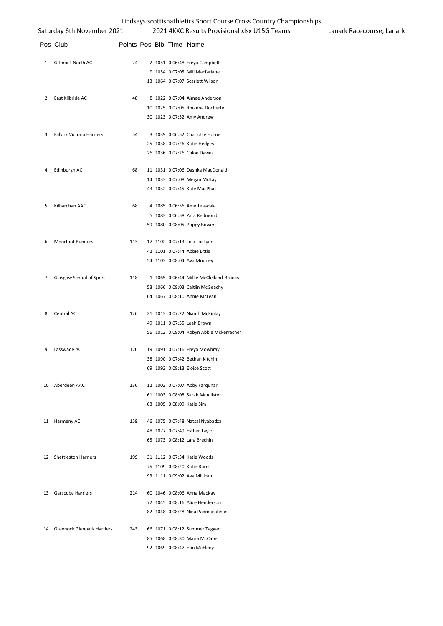|                | Saturday 6th November 2021       |                          |  | 2021 4KXC Results Provisional.xlsx U15G Teams | Lanark Racecourse, Lanark |
|----------------|----------------------------------|--------------------------|--|-----------------------------------------------|---------------------------|
|                | Pos Club                         | Points Pos Bib Time Name |  |                                               |                           |
| 1              | Giffnock North AC                | 24                       |  | 2 1051 0:06:48 Freya Campbell                 |                           |
|                |                                  |                          |  | 9 1054 0:07:05 Mili Macfarlane                |                           |
|                |                                  |                          |  | 13 1064 0:07:07 Scarlett Wilson               |                           |
| 2              | East Kilbride AC                 | 48                       |  | 8 1022 0:07:04 Aimee Anderson                 |                           |
|                |                                  |                          |  | 10 1025 0:07:05 Rhianna Docherty              |                           |
|                |                                  |                          |  | 30 1023 0:07:32 Amy Andrew                    |                           |
| 3              | <b>Falkirk Victoria Harriers</b> | 54                       |  | 3 1039 0:06:52 Charlotte Horne                |                           |
|                |                                  |                          |  | 25 1038 0:07:26 Katie Hedges                  |                           |
|                |                                  |                          |  | 26 1036 0:07:26 Chloe Davies                  |                           |
| 4              | Edinburgh AC                     | 68                       |  | 11 1031 0:07:06 Dashka MacDonald              |                           |
|                |                                  |                          |  | 14 1033 0:07:08 Megan McKay                   |                           |
|                |                                  |                          |  | 43 1032 0:07:45 Kate MacPhail                 |                           |
| 5              | Kilbarchan AAC                   | 68                       |  | 4 1085 0:06:56 Amy Teasdale                   |                           |
|                |                                  |                          |  | 5 1083 0:06:58 Zara Redmond                   |                           |
|                |                                  |                          |  | 59 1080 0:08:05 Poppy Bowers                  |                           |
| 6              | <b>Moorfoot Runners</b>          | 113                      |  | 17 1102 0:07:13 Lola Lockyer                  |                           |
|                |                                  |                          |  | 42 1101 0:07:44 Abbie Little                  |                           |
|                |                                  |                          |  | 54 1103 0:08:04 Ava Mooney                    |                           |
| $\overline{7}$ | Glasgow School of Sport          | 118                      |  | 1 1065 0:06:44 Millie McClelland-Brooks       |                           |
|                |                                  |                          |  | 53 1066 0:08:03 Caitlin McGeachy              |                           |
|                |                                  |                          |  | 64 1067 0:08:10 Annie McLean                  |                           |
| 8              | Central AC                       | 126                      |  | 21 1013 0:07:22 Niamh McKinlay                |                           |
|                |                                  |                          |  | 49 1011 0:07:55 Leah Brown                    |                           |
|                |                                  |                          |  | 56 1012 0:08:04 Robyn Abbie Mckerracher       |                           |
| 9              | Lasswade AC                      | 126                      |  | 19 1091 0:07:16 Freya Mowbray                 |                           |
|                |                                  |                          |  | 38 1090 0:07:42 Bethan Kitchin                |                           |
|                |                                  |                          |  | 69 1092 0:08:13 Eloise Scott                  |                           |
|                | 10 Aberdeen AAC                  | 136                      |  | 12 1002 0:07:07 Abby Farquhar                 |                           |
|                |                                  |                          |  | 61 1003 0:08:08 Sarah McAllister              |                           |
|                |                                  |                          |  | 63 1005 0:08:09 Katie Sim                     |                           |
|                | 11 Harmeny AC                    | 159                      |  | 46 1075 0:07:48 Natsai Nyabadza               |                           |
|                |                                  |                          |  | 48 1077 0:07:49 Esther Taylor                 |                           |
|                |                                  |                          |  | 65 1073 0:08:12 Lara Brechin                  |                           |
|                | 12 Shettleston Harriers          | 199                      |  | 31 1112 0:07:34 Katie Woods                   |                           |
|                |                                  |                          |  | 75 1109 0:08:20 Katie Burns                   |                           |
|                |                                  |                          |  | 93 1111 0:09:02 Ava Millican                  |                           |
|                | 13 Garscube Harriers             | 214                      |  | 60 1046 0:08:06 Anna MacKay                   |                           |
|                |                                  |                          |  | 72 1045 0:08:16 Alice Henderson               |                           |
|                |                                  |                          |  | 82 1048 0:08:28 Nina Padmanabhan              |                           |
|                | 14 Greenock Glenpark Harriers    | 243                      |  | 66 1071 0:08:12 Summer Taggart                |                           |
|                |                                  |                          |  | 85 1068 0:08:30 Maria McCabe                  |                           |

1069 0:08:47 Erin McEleny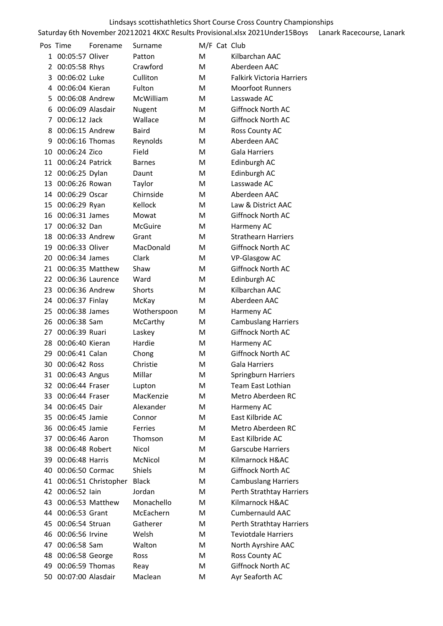|    | Pos Time          | Forename             | Surname       | M/F Cat Club |                                  |
|----|-------------------|----------------------|---------------|--------------|----------------------------------|
| 1  | 00:05:57 Oliver   |                      | Patton        | M            | Kilbarchan AAC                   |
| 2  | 00:05:58 Rhys     |                      | Crawford      | M            | Aberdeen AAC                     |
| 3  | 00:06:02 Luke     |                      | Culliton      | M            | <b>Falkirk Victoria Harriers</b> |
| 4  | 00:06:04 Kieran   |                      | Fulton        | м            | <b>Moorfoot Runners</b>          |
| 5  | 00:06:08 Andrew   |                      | McWilliam     | м            | Lasswade AC                      |
| 6  | 00:06:09 Alasdair |                      | Nugent        | M            | Giffnock North AC                |
| 7  | 00:06:12 Jack     |                      | Wallace       | м            | Giffnock North AC                |
| 8  | 00:06:15 Andrew   |                      | <b>Baird</b>  | M            | Ross County AC                   |
| 9  | 00:06:16 Thomas   |                      | Reynolds      | м            | Aberdeen AAC                     |
| 10 | 00:06:24 Zico     |                      | Field         | M            | Gala Harriers                    |
| 11 | 00:06:24 Patrick  |                      | <b>Barnes</b> | M            | Edinburgh AC                     |
| 12 | 00:06:25 Dylan    |                      | Daunt         | M            | Edinburgh AC                     |
| 13 | 00:06:26 Rowan    |                      | Taylor        | M            | Lasswade AC                      |
| 14 | 00:06:29 Oscar    |                      | Chirnside     | м            | Aberdeen AAC                     |
| 15 | 00:06:29 Ryan     |                      | Kellock       | M            | Law & District AAC               |
| 16 | 00:06:31 James    |                      | Mowat         | м            | Giffnock North AC                |
| 17 | 00:06:32 Dan      |                      | McGuire       | M            | Harmeny AC                       |
| 18 | 00:06:33 Andrew   |                      | Grant         | M            | <b>Strathearn Harriers</b>       |
| 19 | 00:06:33 Oliver   |                      | MacDonald     | M            | Giffnock North AC                |
| 20 | 00:06:34 James    |                      | Clark         | м            | <b>VP-Glasgow AC</b>             |
| 21 |                   | 00:06:35 Matthew     | Shaw          | M            | Giffnock North AC                |
| 22 |                   | 00:06:36 Laurence    | Ward          | M            | Edinburgh AC                     |
| 23 | 00:06:36 Andrew   |                      | Shorts        | M            | Kilbarchan AAC                   |
| 24 | 00:06:37 Finlay   |                      | McKay         | M            | Aberdeen AAC                     |
| 25 | 00:06:38 James    |                      | Wotherspoon   | м            | Harmeny AC                       |
| 26 | 00:06:38 Sam      |                      | McCarthy      | M            | <b>Cambuslang Harriers</b>       |
| 27 | 00:06:39 Ruari    |                      | Laskey        | M            | Giffnock North AC                |
| 28 | 00:06:40 Kieran   |                      | Hardie        | м            | Harmeny AC                       |
| 29 | 00:06:41 Calan    |                      | Chong         | M            | Giffnock North AC                |
| 30 | 00:06:42 Ross     |                      | Christie      | M            | Gala Harriers                    |
|    | 31 00:06:43 Angus |                      | Millar        | м            | Springburn Harriers              |
| 32 | 00:06:44 Fraser   |                      | Lupton        | M            | Team East Lothian                |
| 33 | 00:06:44 Fraser   |                      | MacKenzie     | M            | Metro Aberdeen RC                |
| 34 | 00:06:45 Dair     |                      | Alexander     | M            | Harmeny AC                       |
| 35 | 00:06:45 Jamie    |                      | Connor        | M            | East Kilbride AC                 |
| 36 | 00:06:45 Jamie    |                      | Ferries       | M            | Metro Aberdeen RC                |
| 37 | 00:06:46 Aaron    |                      | Thomson       | M            | East Kilbride AC                 |
| 38 | 00:06:48 Robert   |                      | Nicol         | M            | <b>Garscube Harriers</b>         |
| 39 | 00:06:48 Harris   |                      | McNicol       | M            | Kilmarnock H&AC                  |
| 40 | 00:06:50 Cormac   |                      | <b>Shiels</b> | M            | Giffnock North AC                |
| 41 |                   | 00:06:51 Christopher | <b>Black</b>  | M            | <b>Cambuslang Harriers</b>       |
| 42 | 00:06:52 lain     |                      | Jordan        | Μ            | Perth Strathtay Harriers         |
| 43 |                   | 00:06:53 Matthew     | Monachello    | M            | Kilmarnock H&AC                  |
| 44 | 00:06:53 Grant    |                      | McEachern     | M            | <b>Cumbernauld AAC</b>           |
| 45 | 00:06:54 Struan   |                      | Gatherer      | М            | Perth Strathtay Harriers         |
| 46 | 00:06:56 Irvine   |                      | Welsh         | M            | <b>Teviotdale Harriers</b>       |
| 47 | 00:06:58 Sam      |                      | Walton        | Μ            | North Ayrshire AAC               |
| 48 | 00:06:58 George   |                      | Ross          | M            | Ross County AC                   |
| 49 | 00:06:59 Thomas   |                      | Reay          | Μ            | Giffnock North AC                |
| 50 | 00:07:00 Alasdair |                      | Maclean       | Μ            | Ayr Seaforth AC                  |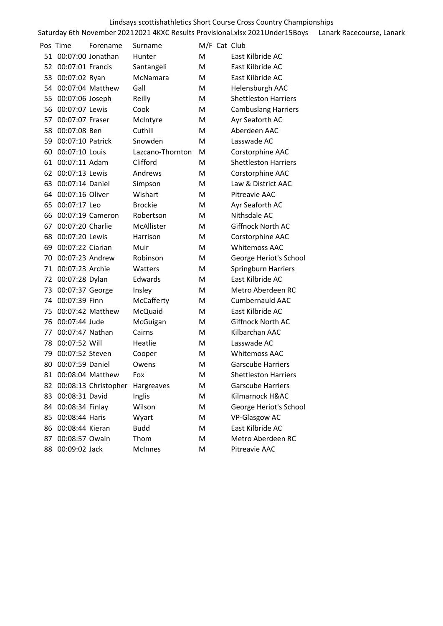|    | Pos Time           | Forename             | Surname          | M/F Cat Club |                             |
|----|--------------------|----------------------|------------------|--------------|-----------------------------|
| 51 |                    | 00:07:00 Jonathan    | Hunter           | м            | East Kilbride AC            |
| 52 | 00:07:01 Francis   |                      | Santangeli       | M            | East Kilbride AC            |
| 53 | 00:07:02 Ryan      |                      | McNamara         | М            | East Kilbride AC            |
| 54 |                    | 00:07:04 Matthew     | Gall             | M            | Helensburgh AAC             |
| 55 | 00:07:06 Joseph    |                      | Reilly           | м            | <b>Shettleston Harriers</b> |
| 56 | 00:07:07 Lewis     |                      | Cook             | м            | <b>Cambuslang Harriers</b>  |
| 57 | 00:07:07 Fraser    |                      | McIntyre         | M            | Ayr Seaforth AC             |
| 58 | 00:07:08 Ben       |                      | Cuthill          | M            | Aberdeen AAC                |
| 59 | 00:07:10 Patrick   |                      | Snowden          | M            | Lasswade AC                 |
| 60 | 00:07:10 Louis     |                      | Lazcano-Thornton | M            | Corstorphine AAC            |
| 61 | 00:07:11 Adam      |                      | Clifford         | M            | <b>Shettleston Harriers</b> |
| 62 | 00:07:13 Lewis     |                      | Andrews          | M            | Corstorphine AAC            |
| 63 | 00:07:14 Daniel    |                      | Simpson          | м            | Law & District AAC          |
| 64 | 00:07:16 Oliver    |                      | Wishart          | M            | Pitreavie AAC               |
| 65 | 00:07:17 Leo       |                      | <b>Brockie</b>   | M            | Ayr Seaforth AC             |
| 66 |                    | 00:07:19 Cameron     | Robertson        | м            | Nithsdale AC                |
| 67 | 00:07:20 Charlie   |                      | McAllister       | м            | Giffnock North AC           |
| 68 | 00:07:20 Lewis     |                      | Harrison         | M            | Corstorphine AAC            |
| 69 | 00:07:22 Ciarian   |                      | Muir             | М            | <b>Whitemoss AAC</b>        |
| 70 | 00:07:23 Andrew    |                      | Robinson         | M            | George Heriot's School      |
| 71 | 00:07:23 Archie    |                      | Watters          | м            | Springburn Harriers         |
| 72 | 00:07:28 Dylan     |                      | Edwards          | м            | East Kilbride AC            |
| 73 | 00:07:37 George    |                      | Insley           | M            | Metro Aberdeen RC           |
| 74 | 00:07:39 Finn      |                      | McCafferty       | M            | <b>Cumbernauld AAC</b>      |
| 75 |                    | 00:07:42 Matthew     | McQuaid          | M            | East Kilbride AC            |
| 76 | 00:07:44 Jude      |                      | McGuigan         | м            | Giffnock North AC           |
| 77 | 00:07:47 Nathan    |                      | Cairns           | м            | Kilbarchan AAC              |
| 78 | 00:07:52 Will      |                      | Heatlie          | м            | Lasswade AC                 |
| 79 | 00:07:52 Steven    |                      | Cooper           | м            | <b>Whitemoss AAC</b>        |
| 80 | 00:07:59 Daniel    |                      | Owens            | M            | <b>Garscube Harriers</b>    |
| 81 |                    | 00:08:04 Matthew     | Fox              | Μ            | <b>Shettleston Harriers</b> |
| 82 |                    | 00:08:13 Christopher | Hargreaves       | М            | <b>Garscube Harriers</b>    |
| 83 | 00:08:31 David     |                      | Inglis           | M            | Kilmarnock H&AC             |
|    | 84 00:08:34 Finlay |                      | Wilson           | М            | George Heriot's School      |
| 85 | 00:08:44 Haris     |                      | Wyart            | М            | <b>VP-Glasgow AC</b>        |
|    | 86 00:08:44 Kieran |                      | <b>Budd</b>      | М            | East Kilbride AC            |
| 87 | 00:08:57 Owain     |                      | Thom             | М            | Metro Aberdeen RC           |
| 88 | 00:09:02 Jack      |                      | McInnes          | М            | Pitreavie AAC               |
|    |                    |                      |                  |              |                             |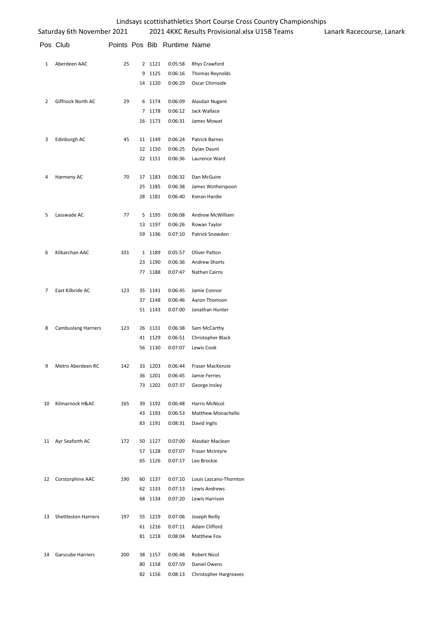|    | Saturday 6th November 2021  |     |    |         |                             | 2021 4KXC Results Provisional.xlsx U15B Teams | Lanark Racecourse, Lanark |
|----|-----------------------------|-----|----|---------|-----------------------------|-----------------------------------------------|---------------------------|
|    | Pos Club                    |     |    |         | Points Pos Bib Runtime Name |                                               |                           |
| 1  | Aberdeen AAC                | 25  |    | 2 1121  | 0:05:58                     | Rhys Crawford                                 |                           |
|    |                             |     |    | 9 1125  | 0:06:16                     | Thomas Reynolds                               |                           |
|    |                             |     |    | 14 1120 | 0:06:29                     | Oscar Chirnside                               |                           |
| 2  | Giffnock North AC           | 29  |    | 6 1174  | 0:06:09                     | Alasdair Nugent                               |                           |
|    |                             |     |    | 7 1178  | 0:06:12                     | Jack Wallace                                  |                           |
|    |                             |     |    | 16 1173 | 0:06:31                     | James Mowat                                   |                           |
| 3  | Edinburgh AC                | 45  |    | 11 1149 | 0:06:24                     | Patrick Barnes                                |                           |
|    |                             |     |    | 12 1150 | 0:06:25                     | Dylan Daunt                                   |                           |
|    |                             |     |    | 22 1151 | 0:06:36                     | Laurence Ward                                 |                           |
| 4  | Harmeny AC                  | 70  |    | 17 1183 | 0:06:32                     | Dan McGuire                                   |                           |
|    |                             |     |    | 25 1185 | 0:06:38                     | James Wotherspoon                             |                           |
|    |                             |     |    | 28 1181 | 0:06:40                     | Kieran Hardie                                 |                           |
| 5  | Lasswade AC                 | 77  |    | 5 1195  | 0:06:08                     | Andrew McWilliam                              |                           |
|    |                             |     | 13 | 1197    | 0:06:26                     | Rowan Taylor                                  |                           |
|    |                             |     |    | 59 1196 | 0:07:10                     | Patrick Snowden                               |                           |
| 6  | Kilbarchan AAC              | 101 |    | 1 1189  | 0:05:57                     | Oliver Patton                                 |                           |
|    |                             |     |    | 23 1190 | 0:06:36                     | <b>Andrew Shorts</b>                          |                           |
|    |                             |     |    | 77 1188 | 0:07:47                     | Nathan Cairns                                 |                           |
| 7  | East Kilbride AC            | 123 |    | 35 1141 | 0:06:45                     | Jamie Connor                                  |                           |
|    |                             |     |    | 37 1148 | 0:06:46                     | Aaron Thomson                                 |                           |
|    |                             |     |    | 51 1143 | 0:07:00                     | Jonathan Hunter                               |                           |
| 8  | <b>Cambuslang Harriers</b>  | 123 |    | 26 1131 | 0:06:38                     | Sam McCarthy                                  |                           |
|    |                             |     |    | 41 1129 | 0:06:51                     | Christopher Black                             |                           |
|    |                             |     |    | 56 1130 | 0:07:07                     | Lewis Cook                                    |                           |
| 9  | Metro Aberdeen RC           | 142 |    | 33 1203 | 0:06:44                     | Fraser MacKenzie                              |                           |
|    |                             |     | 36 | 1201    | 0:06:45                     | Jamie Ferries                                 |                           |
|    |                             |     |    | 73 1202 | 0:07:37                     | George Insley                                 |                           |
| 10 | Kilmarnock H&AC             | 165 |    | 39 1192 | 0:06:48                     | Harris McNicol                                |                           |
|    |                             |     |    | 43 1193 | 0:06:53                     | <b>Matthew Monachello</b>                     |                           |
|    |                             |     |    | 83 1191 | 0:08:31                     | David Inglis                                  |                           |
|    | 11 Ayr Seaforth AC          | 172 |    | 50 1127 | 0:07:00                     | Alasdair Maclean                              |                           |
|    |                             |     |    | 57 1128 | 0:07:07                     | Fraser McIntyre                               |                           |
|    |                             |     |    | 65 1126 | 0:07:17                     | Leo Brockie                                   |                           |
|    | 12 Corstorphine AAC         | 190 |    | 60 1137 | 0:07:10                     | Louis Lazcano-Thornton                        |                           |
|    |                             |     |    | 62 1133 | 0:07:13                     | Lewis Andrews                                 |                           |
|    |                             |     |    | 68 1134 | 0:07:20                     | Lewis Harrison                                |                           |
| 13 | <b>Shettleston Harriers</b> | 197 |    | 55 1219 | 0:07:06                     | Joseph Reilly                                 |                           |
|    |                             |     |    | 61 1216 | 0:07:11                     | Adam Clifford                                 |                           |
|    |                             |     |    | 81 1218 | 0:08:04                     | Matthew Fox                                   |                           |
| 14 | Garscube Harriers           | 200 |    | 38 1157 | 0:06:48                     | Robert Nicol                                  |                           |
|    |                             |     |    | 80 1158 | 0:07:59                     | Daniel Owens                                  |                           |
|    |                             |     |    | 82 1156 | 0:08:13                     | <b>Christopher Hargreaves</b>                 |                           |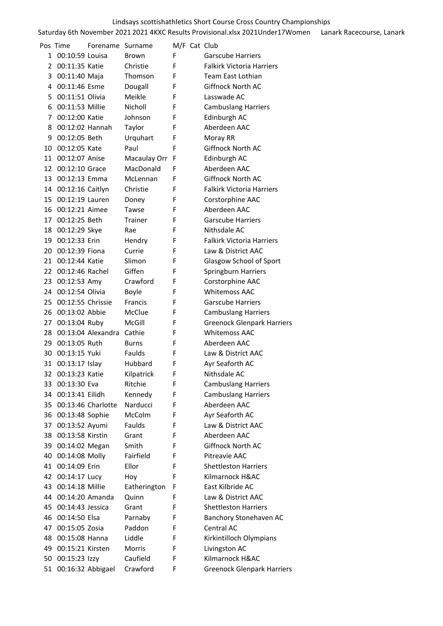|    | Pos Time          | Forename Surname   |                |   | M/F Cat Club                      |
|----|-------------------|--------------------|----------------|---|-----------------------------------|
| 1  | 00:10:59 Louisa   |                    | <b>Brown</b>   | F | <b>Garscube Harriers</b>          |
| 2  | 00:11:35 Katie    |                    | Christie       | F | <b>Falkirk Victoria Harriers</b>  |
| 3  | 00:11:40 Maja     |                    | Thomson        | F | Team East Lothian                 |
| 4  | 00:11:46 Esme     |                    | Dougall        | F | Giffnock North AC                 |
| 5  | 00:11:51 Olivia   |                    | Meikle         | F | Lasswade AC                       |
| 6  | 00:11:53 Millie   |                    | Nicholl        | F | <b>Cambuslang Harriers</b>        |
| 7  | 00:12:00 Katie    |                    | Johnson        | F | Edinburgh AC                      |
| 8  | 00:12:02 Hannah   |                    | Taylor         | F | Aberdeen AAC                      |
| 9  | 00:12:05 Beth     |                    | Urquhart       | F | Moray RR                          |
| 10 | 00:12:05 Kate     |                    | Paul           | F | Giffnock North AC                 |
| 11 | 00:12:07 Anise    |                    | Macaulay Orr   | F | Edinburgh AC                      |
| 12 | 00:12:10 Grace    |                    | MacDonald      | F | Aberdeen AAC                      |
| 13 | 00:12:13 Emma     |                    | McLennan       | F | <b>Giffnock North AC</b>          |
| 14 | 00:12:16 Caitlyn  |                    | Christie       | F | <b>Falkirk Victoria Harriers</b>  |
| 15 | 00:12:19 Lauren   |                    | Doney          | F | Corstorphine AAC                  |
| 16 | 00:12:21 Aimee    |                    | Tawse          | F | Aberdeen AAC                      |
| 17 | 00:12:25 Beth     |                    | Trainer        | F | <b>Garscube Harriers</b>          |
| 18 | 00:12:29 Skye     |                    | Rae            | F | Nithsdale AC                      |
| 19 | 00:12:33 Erin     |                    | Hendry         | F | <b>Falkirk Victoria Harriers</b>  |
| 20 | 00:12:39 Fiona    |                    | Currie         | F | Law & District AAC                |
| 21 | 00:12:44 Katie    |                    | Slimon         | F | Glasgow School of Sport           |
| 22 | 00:12:46 Rachel   |                    | Giffen         | F | Springburn Harriers               |
| 23 | 00:12:53 Amy      |                    | Crawford       | F | Corstorphine AAC                  |
| 24 | 00:12:54 Olivia   |                    | Boyle          | F | <b>Whitemoss AAC</b>              |
| 25 | 00:12:55 Chrissie |                    | <b>Francis</b> | F | <b>Garscube Harriers</b>          |
| 26 | 00:13:02 Abbie    |                    | McClue         | F | <b>Cambuslang Harriers</b>        |
| 27 | 00:13:04 Ruby     |                    | McGill         | F | <b>Greenock Glenpark Harriers</b> |
| 28 |                   | 00:13:04 Alexandra | Cathie         | F | <b>Whitemoss AAC</b>              |
| 29 | 00:13:05 Ruth     |                    | <b>Burns</b>   | F | Aberdeen AAC                      |
| 30 | 00:13:15 Yuki     |                    | Faulds         | F | Law & District AAC                |
| 31 | 00:13:17 Islay    |                    | Hubbard        | F | Ayr Seaforth AC                   |
| 32 | 00:13:23 Katie    |                    | Kilpatrick     | F | Nithsdale AC                      |
| 33 | 00:13:30 Eva      |                    | Ritchie        | F | <b>Cambuslang Harriers</b>        |
| 34 | 00:13:41 Eilidh   |                    | Kennedy        | F | <b>Cambuslang Harriers</b>        |
| 35 |                   | 00:13:46 Charlotte | Narducci       | F | Aberdeen AAC                      |
| 36 | 00:13:48 Sophie   |                    | McColm         | F | Ayr Seaforth AC                   |
| 37 | 00:13:52 Ayumi    |                    | Faulds         | F | Law & District AAC                |
| 38 | 00:13:58 Kirstin  |                    | Grant          | F | Aberdeen AAC                      |
| 39 | 00:14:02 Megan    |                    | Smith          | F | Giffnock North AC                 |
| 40 | 00:14:08 Molly    |                    | Fairfield      | F | Pitreavie AAC                     |
| 41 | 00:14:09 Erin     |                    | Ellor          | F | <b>Shettleston Harriers</b>       |
| 42 | 00:14:17 Lucy     |                    | Hoy            | F | Kilmarnock H&AC                   |
| 43 | 00:14:18 Millie   |                    | Eatherington   | F | East Kilbride AC                  |
| 44 | 00:14:20 Amanda   |                    |                | F | Law & District AAC                |
|    |                   |                    | Quinn          |   |                                   |
| 45 | 00:14:43 Jessica  |                    | Grant          | F | <b>Shettleston Harriers</b>       |
| 46 | 00:14:50 Elsa     |                    | Parnaby        | F | Banchory Stonehaven AC            |
| 47 | 00:15:05 Zosia    |                    | Paddon         | F | Central AC                        |
| 48 | 00:15:08 Hanna    |                    | Liddle         | F | Kirkintilloch Olympians           |
| 49 | 00:15:21 Kirsten  |                    | <b>Morris</b>  | F | Livingston AC<br>Kilmarnock H&AC  |
| 50 | 00:15:23 Izzy     |                    | Caufield       | F |                                   |
| 51 |                   | 00:16:32 Abbigael  | Crawford       | F | <b>Greenock Glenpark Harriers</b> |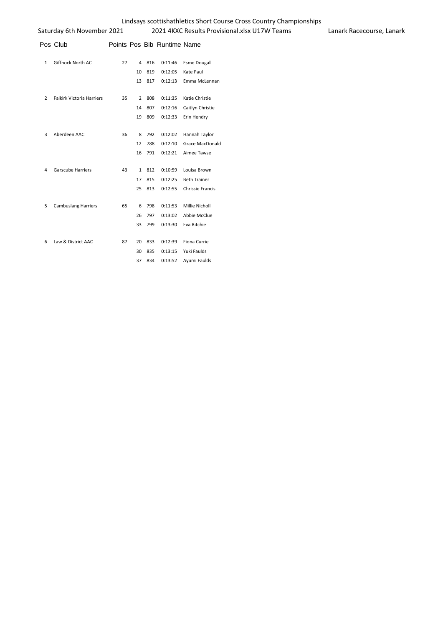|                | Pos Club                         |    |              |     | Points Pos Bib Runtime Name |                        |
|----------------|----------------------------------|----|--------------|-----|-----------------------------|------------------------|
| $\mathbf{1}$   | Giffnock North AC                | 27 | 4            | 816 | 0:11:46                     | <b>Esme Dougall</b>    |
|                |                                  |    | 10           | 819 | 0:12:05                     | Kate Paul              |
|                |                                  |    | 13           | 817 | 0:12:13                     | Emma McLennan          |
| $\overline{2}$ | <b>Falkirk Victoria Harriers</b> | 35 | 2            | 808 | 0:11:35                     | Katie Christie         |
|                |                                  |    | 14           | 807 | 0:12:16                     | Caitlyn Christie       |
|                |                                  |    | 19           | 809 | 0:12:33                     | Erin Hendry            |
| 3              | Aberdeen AAC                     | 36 | 8            | 792 | 0:12:02                     | Hannah Taylor          |
|                |                                  |    | 12           | 788 | 0:12:10                     | <b>Grace MacDonald</b> |
|                |                                  |    | 16           | 791 | 0:12:21                     | Aimee Tawse            |
| 4              | <b>Garscube Harriers</b>         | 43 | $\mathbf{1}$ | 812 | 0:10:59                     | Louisa Brown           |
|                |                                  |    | 17           | 815 | 0:12:25                     | <b>Beth Trainer</b>    |
|                |                                  |    | 25           | 813 | 0:12:55                     | Chrissie Francis       |
| 5              | <b>Cambuslang Harriers</b>       | 65 | 6            | 798 | 0:11:53                     | Millie Nicholl         |
|                |                                  |    | 26           | 797 | 0:13:02                     | Abbie McClue           |
|                |                                  |    | 33           | 799 | 0:13:30                     | Eva Ritchie            |
| 6              | Law & District AAC               | 87 | 20           | 833 | 0:12:39                     | Fiona Currie           |
|                |                                  |    | 30           | 835 | 0:13:15                     | Yuki Faulds            |
|                |                                  |    | 37           | 834 | 0:13:52                     | Ayumi Faulds           |
|                |                                  |    |              |     |                             |                        |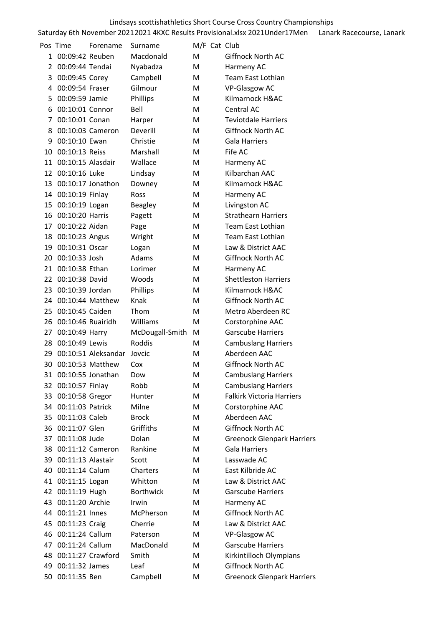|    | Pos Time             | Forename            | Surname          |   | M/F Cat Club                      |
|----|----------------------|---------------------|------------------|---|-----------------------------------|
| 1  | 00:09:42 Reuben      |                     | Macdonald        | м | Giffnock North AC                 |
| 2  | 00:09:44 Tendai      |                     | Nyabadza         | M | Harmeny AC                        |
| 3  | 00:09:45 Corey       |                     | Campbell         | м | Team East Lothian                 |
| 4  | 00:09:54 Fraser      |                     | Gilmour          | м | <b>VP-Glasgow AC</b>              |
| 5  | 00:09:59 Jamie       |                     | Phillips         | м | Kilmarnock H&AC                   |
| 6  | 00:10:01 Connor      |                     | Bell             | м | Central AC                        |
| 7  | 00:10:01 Conan       |                     | Harper           | м | <b>Teviotdale Harriers</b>        |
| 8  |                      | 00:10:03 Cameron    | Deverill         | M | Giffnock North AC                 |
| 9  | 00:10:10 Ewan        |                     | Christie         | м | Gala Harriers                     |
| 10 | 00:10:13 Reiss       |                     | Marshall         | М | Fife AC                           |
| 11 | 00:10:15 Alasdair    |                     | Wallace          | м | Harmeny AC                        |
| 12 | 00:10:16 Luke        |                     | Lindsay          | м | Kilbarchan AAC                    |
| 13 |                      | 00:10:17 Jonathon   | Downey           | м | Kilmarnock H&AC                   |
|    | 14 00:10:19 Finlay   |                     | Ross             | м | Harmeny AC                        |
| 15 | 00:10:19 Logan       |                     | Beagley          | м | Livingston AC                     |
| 16 | 00:10:20 Harris      |                     | Pagett           | м | <b>Strathearn Harriers</b>        |
| 17 | 00:10:22 Aidan       |                     | Page             | м | Team East Lothian                 |
| 18 | 00:10:23 Angus       |                     | Wright           | м | Team East Lothian                 |
| 19 | 00:10:31 Oscar       |                     | Logan            | м | Law & District AAC                |
| 20 | 00:10:33 Josh        |                     | Adams            | м | Giffnock North AC                 |
| 21 | 00:10:38 Ethan       |                     | Lorimer          | м | Harmeny AC                        |
| 22 | 00:10:38 David       |                     | Woods            | м | <b>Shettleston Harriers</b>       |
| 23 | 00:10:39 Jordan      |                     | Phillips         | м | Kilmarnock H&AC                   |
| 24 |                      | 00:10:44 Matthew    | Knak             | м | Giffnock North AC                 |
| 25 | 00:10:45 Caiden      |                     | Thom             | м | Metro Aberdeen RC                 |
| 26 | 00:10:46 Ruairidh    |                     | Williams         | м | Corstorphine AAC                  |
| 27 | 00:10:49 Harry       |                     | McDougall-Smith  | M | <b>Garscube Harriers</b>          |
| 28 | 00:10:49 Lewis       |                     | Roddis           | M | <b>Cambuslang Harriers</b>        |
| 29 |                      | 00:10:51 Aleksandar | Jovcic           | M | Aberdeen AAC                      |
| 30 |                      | 00:10:53 Matthew    | Cox              | M | <b>Giffnock North AC</b>          |
|    | 31 00:10:55 Jonathan |                     | Dow              | M | <b>Cambuslang Harriers</b>        |
|    | 32 00:10:57 Finlay   |                     | Robb             | M | <b>Cambuslang Harriers</b>        |
| 33 | 00:10:58 Gregor      |                     | Hunter           | м | <b>Falkirk Victoria Harriers</b>  |
|    | 34 00:11:03 Patrick  |                     | Milne            | М | Corstorphine AAC                  |
|    | 35 00:11:03 Caleb    |                     | <b>Brock</b>     | М | Aberdeen AAC                      |
| 36 | 00:11:07 Glen        |                     | Griffiths        | м | Giffnock North AC                 |
| 37 | 00:11:08 Jude        |                     | Dolan            | М | <b>Greenock Glenpark Harriers</b> |
| 38 | 00:11:12 Cameron     |                     | Rankine          | м | <b>Gala Harriers</b>              |
| 39 | 00:11:13 Alastair    |                     | Scott            | М | Lasswade AC                       |
|    | 40 00:11:14 Calum    |                     | Charters         | M | East Kilbride AC                  |
| 41 | 00:11:15 Logan       |                     | Whitton          | М | Law & District AAC                |
| 42 | 00:11:19 Hugh        |                     | <b>Borthwick</b> | М | <b>Garscube Harriers</b>          |
|    | 43 00:11:20 Archie   |                     | Irwin            | м | Harmeny AC                        |
|    | 44 00:11:21 Innes    |                     | McPherson        | M | Giffnock North AC                 |
| 45 | 00:11:23 Craig       |                     | Cherrie          | м | Law & District AAC                |
| 46 | 00:11:24 Callum      |                     | Paterson         | м | <b>VP-Glasgow AC</b>              |
| 47 | 00:11:24 Callum      |                     | MacDonald        | М | <b>Garscube Harriers</b>          |
| 48 | 00:11:27 Crawford    |                     | Smith            | м | Kirkintilloch Olympians           |
| 49 | 00:11:32 James       |                     | Leaf             | М | Giffnock North AC                 |
|    | 50 00:11:35 Ben      |                     | Campbell         | M | <b>Greenock Glenpark Harriers</b> |
|    |                      |                     |                  |   |                                   |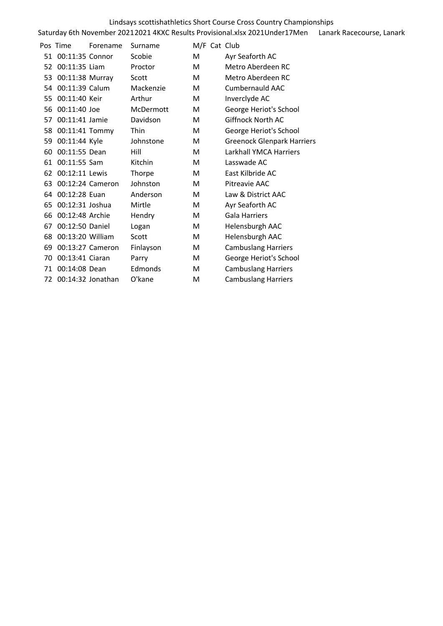# Saturday 6th November 2021 2021 4KXC Results Provisional.xlsx 2021Under17Men Lanark Racecourse, Lanark Lindsays scottishathletics Short Course Cross Country Championships

|    | Pos Time             | Forename         | Surname   | M/F Cat Club |                                   |
|----|----------------------|------------------|-----------|--------------|-----------------------------------|
| 51 | 00:11:35 Connor      |                  | Scobie    | M            | Ayr Seaforth AC                   |
|    | 52 00:11:35 Liam     |                  | Proctor   | м            | Metro Aberdeen RC                 |
| 53 | 00:11:38 Murray      |                  | Scott     | М            | Metro Aberdeen RC                 |
| 54 | 00:11:39 Calum       |                  | Mackenzie | M            | Cumbernauld AAC                   |
| 55 | 00:11:40 Keir        |                  | Arthur    | M            | Inverclyde AC                     |
| 56 | 00:11:40 Joe         |                  | McDermott | M            | George Heriot's School            |
| 57 | 00:11:41 Jamie       |                  | Davidson  | м            | Giffnock North AC                 |
| 58 | 00:11:41 Tommy       |                  | Thin      | M            | George Heriot's School            |
| 59 | 00:11:44 Kyle        |                  | Johnstone | M            | <b>Greenock Glenpark Harriers</b> |
| 60 | 00:11:55 Dean        |                  | Hill      | м            | Larkhall YMCA Harriers            |
| 61 | 00:11:55 Sam         |                  | Kitchin   | M            | Lasswade AC                       |
| 62 | 00:12:11 Lewis       |                  | Thorpe    | M            | East Kilbride AC                  |
| 63 |                      | 00:12:24 Cameron | Johnston  | м            | Pitreavie AAC                     |
| 64 | 00:12:28 Euan        |                  | Anderson  | м            | Law & District AAC                |
| 65 | 00:12:31 Joshua      |                  | Mirtle    | M            | Ayr Seaforth AC                   |
| 66 | 00:12:48 Archie      |                  | Hendry    | М            | <b>Gala Harriers</b>              |
| 67 | 00:12:50 Daniel      |                  | Logan     | М            | Helensburgh AAC                   |
| 68 | 00:13:20 William     |                  | Scott     | M            | Helensburgh AAC                   |
| 69 |                      | 00:13:27 Cameron | Finlayson | м            | <b>Cambuslang Harriers</b>        |
| 70 | 00:13:41 Ciaran      |                  | Parry     | M            | George Heriot's School            |
| 71 | 00:14:08 Dean        |                  | Edmonds   | M            | <b>Cambuslang Harriers</b>        |
|    | 72 00:14:32 Jonathan |                  | O'kane    | M            | <b>Cambuslang Harriers</b>        |
|    |                      |                  |           |              |                                   |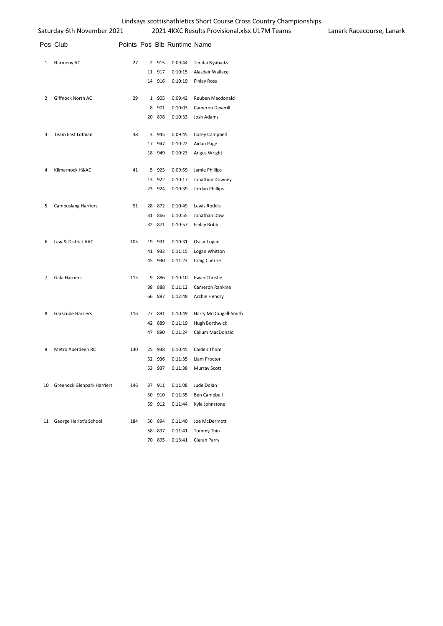| Lindsays scottishathletics Short Course Cross Country Championships |  |
|---------------------------------------------------------------------|--|
|---------------------------------------------------------------------|--|

|                | Pos Club                          |     |    |       | Points Pos Bib Runtime Name |                       |
|----------------|-----------------------------------|-----|----|-------|-----------------------------|-----------------------|
| 1              | Harmeny AC                        | 27  | 2  | 915   | 0:09:44                     | Tendai Nyabadza       |
|                |                                   |     | 11 | 917   | 0:10:15                     | Alasdair Wallace      |
|                |                                   |     | 14 | 916   | 0:10:19                     | <b>Finlay Ross</b>    |
| 2              | Giffnock North AC                 | 29  | 1  | 905   | 0:09:42                     | Reuben Macdonald      |
|                |                                   |     | 8  | 901   | 0:10:03                     | Cameron Deverill      |
|                |                                   |     | 20 | 898   | 0:10:33                     | Josh Adams            |
| 3              | Team East Lothian                 | 38  | 3  | 945   | 0:09:45                     | Corey Campbell        |
|                |                                   |     | 17 | 947   | 0:10:22                     | Aidan Page            |
|                |                                   |     | 18 | 949   | 0:10:23                     | Angus Wright          |
| 4              | Kilmarnock H&AC                   | 41  | 5  | 923   | 0:09:59                     | Jamie Phillips        |
|                |                                   |     | 13 | 922   | 0:10:17                     | Jonathon Downey       |
|                |                                   |     | 23 | 924   | 0:10:39                     | Jordan Phillips       |
| 5              | <b>Cambuslang Harriers</b>        | 91  | 28 | 872   | 0:10:49                     | Lewis Roddis          |
|                |                                   |     | 31 | 866   | 0:10:55                     | Jonathan Dow          |
|                |                                   |     | 32 | 871   | 0:10:57                     | Finlay Robb           |
| 6              | Law & District AAC                | 105 | 19 | 931   | 0:10:31                     | Oscar Logan           |
|                |                                   |     | 41 | 932   | 0:11:15                     | Logan Whitton         |
|                |                                   |     | 45 | 930   | 0:11:23                     | Craig Cherrie         |
| $\overline{7}$ | Gala Harriers                     | 113 |    | 9 886 | 0:10:10                     | Ewan Christie         |
|                |                                   |     | 38 | 888   | 0:11:12                     | Cameron Rankine       |
|                |                                   |     | 66 | 887   | 0:12:48                     | Archie Hendry         |
| 8              | Garscube Harriers                 | 116 | 27 | 891   | 0:10:49                     | Harry McDougall-Smith |
|                |                                   |     | 42 | 889   | 0:11:19                     | Hugh Borthwick        |
|                |                                   |     | 47 | 890   | 0:11:24                     | Callum MacDonald      |
| 9              | Metro Aberdeen RC                 | 130 | 25 | 938   | 0:10:45                     | Caiden Thom           |
|                |                                   |     | 52 | 936   | 0:11:35                     | Liam Proctor          |
|                |                                   |     | 53 | 937   | 0:11:38                     | <b>Murray Scott</b>   |
| 10             | <b>Greenock Glenpark Harriers</b> | 146 | 37 | 911   | 0:11:08                     | Jude Dolan            |
|                |                                   |     | 50 | 910   | 0:11:35                     | <b>Ben Campbell</b>   |
|                |                                   |     | 59 | 912   | 0:11:44                     | Kyle Johnstone        |
| 11             | George Heriot's School            | 184 | 56 | 894   | 0:11:40                     | Joe McDermott         |
|                |                                   |     | 58 | 897   | 0:11:41                     | Tommy Thin            |
|                |                                   |     | 70 | 895   | 0:13:41                     | Ciaran Parry          |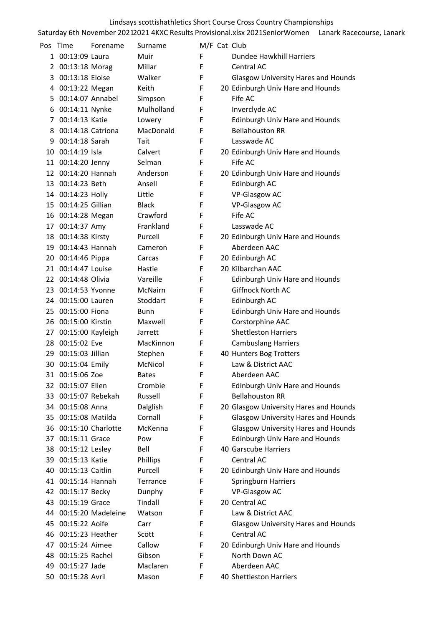| Pos | Time                  | Forename              | Surname      | M/F Cat Club |                                            |
|-----|-----------------------|-----------------------|--------------|--------------|--------------------------------------------|
|     | 1 00:13:09 Laura      |                       | Muir         | F            | Dundee Hawkhill Harriers                   |
|     | 2 00:13:18 Morag      |                       | Millar       | F            | Central AC                                 |
|     | 3 00:13:18 Eloise     |                       | Walker       | F            | <b>Glasgow University Hares and Hounds</b> |
| 4   | 00:13:22 Megan        |                       | Keith        | F            | 20 Edinburgh Univ Hare and Hounds          |
|     | 5 00:14:07 Annabel    |                       | Simpson      | F            | Fife AC                                    |
| 6   | 00:14:11 Nynke        |                       | Mulholland   | F            | Inverclyde AC                              |
|     | 7 00:14:13 Katie      |                       | Lowery       | F            | <b>Edinburgh Univ Hare and Hounds</b>      |
| 8   | 00:14:18 Catriona     |                       | MacDonald    | F            | <b>Bellahouston RR</b>                     |
| 9   | 00:14:18 Sarah        |                       | Tait         | F            | Lasswade AC                                |
|     | 10 00:14:19 Isla      |                       | Calvert      | F            | 20 Edinburgh Univ Hare and Hounds          |
|     | 11 00:14:20 Jenny     |                       | Selman       | F            | Fife AC                                    |
|     | 12 00:14:20 Hannah    |                       | Anderson     | F            | 20 Edinburgh Univ Hare and Hounds          |
|     | 13 00:14:23 Beth      |                       | Ansell       | F            | Edinburgh AC                               |
|     | 14 00:14:23 Holly     |                       | Little       | F            | VP-Glasgow AC                              |
|     | 15 00:14:25 Gillian   |                       | <b>Black</b> | F            | <b>VP-Glasgow AC</b>                       |
|     | 16 00:14:28 Megan     |                       | Crawford     | F            | Fife AC                                    |
|     | 17 00:14:37 Amy       |                       | Frankland    | F            | Lasswade AC                                |
|     | 18 00:14:38 Kirsty    |                       | Purcell      | F            | 20 Edinburgh Univ Hare and Hounds          |
|     | 19 00:14:43 Hannah    |                       | Cameron      | F            | Aberdeen AAC                               |
|     | 20 00:14:46 Pippa     |                       | Carcas       | F            | 20 Edinburgh AC                            |
|     | 21 00:14:47 Louise    |                       | Hastie       | F            | 20 Kilbarchan AAC                          |
|     | 22 00:14:48 Olivia    |                       | Vareille     | F            | Edinburgh Univ Hare and Hounds             |
|     | 23 00:14:53 Yvonne    |                       | McNairn      | F            | Giffnock North AC                          |
|     | 24 00:15:00 Lauren    |                       | Stoddart     | F            | Edinburgh AC                               |
|     | 25 00:15:00 Fiona     |                       | <b>Bunn</b>  | F            | Edinburgh Univ Hare and Hounds             |
|     | 26 00:15:00 Kirstin   |                       | Maxwell      | F            | Corstorphine AAC                           |
|     | 27 00:15:00 Kayleigh  |                       | Jarrett      | F            | <b>Shettleston Harriers</b>                |
|     | 28 00:15:02 Eve       |                       | MacKinnon    | F            | <b>Cambuslang Harriers</b>                 |
|     | 29 00:15:03 Jillian   |                       | Stephen      | F            | 40 Hunters Bog Trotters                    |
|     | 30 00:15:04 Emily     |                       | McNicol      | F            | Law & District AAC                         |
|     | 31 00:15:06 Zoe       |                       | <b>Bates</b> | F            | Aberdeen AAC                               |
|     | 32 00:15:07 Ellen     |                       | Crombie      | F            | Edinburgh Univ Hare and Hounds             |
|     | 33 00:15:07 Rebekah   |                       | Russell      | F            | <b>Bellahouston RR</b>                     |
|     | 34 00:15:08 Anna      |                       | Dalglish     | F            | 20 Glasgow University Hares and Hounds     |
|     | 35 00:15:08 Matilda   |                       | Cornall      | F            | <b>Glasgow University Hares and Hounds</b> |
|     | 36 00:15:10 Charlotte |                       | McKenna      | F            | <b>Glasgow University Hares and Hounds</b> |
|     | 37 00:15:11 Grace     |                       | Pow          | F            | <b>Edinburgh Univ Hare and Hounds</b>      |
|     | 38 00:15:12 Lesley    |                       | Bell         | F            | 40 Garscube Harriers                       |
|     | 39 00:15:13 Katie     |                       | Phillips     | F            | Central AC                                 |
|     | 40 00:15:13 Caitlin   |                       | Purcell      | F            | 20 Edinburgh Univ Hare and Hounds          |
|     | 41 00:15:14 Hannah    |                       | Terrance     | F            | Springburn Harriers                        |
|     | 42 00:15:17 Becky     |                       | Dunphy       | F            | <b>VP-Glasgow AC</b>                       |
|     | 43 00:15:19 Grace     |                       | Tindall      | F            | 20 Central AC                              |
|     |                       | 44 00:15:20 Madeleine | Watson       | F            | Law & District AAC                         |
|     | 45 00:15:22 Aoife     |                       | Carr         | F            | <b>Glasgow University Hares and Hounds</b> |
| 46  | 00:15:23 Heather      |                       | Scott        | F            | Central AC                                 |
| 47  | 00:15:24 Aimee        |                       | Callow       | F            | 20 Edinburgh Univ Hare and Hounds          |
| 48  | 00:15:25 Rachel       |                       | Gibson       | F            | North Down AC                              |
|     | 49 00:15:27 Jade      |                       | Maclaren     | F            | Aberdeen AAC                               |
|     | 50 00:15:28 Avril     |                       | Mason        | F            | 40 Shettleston Harriers                    |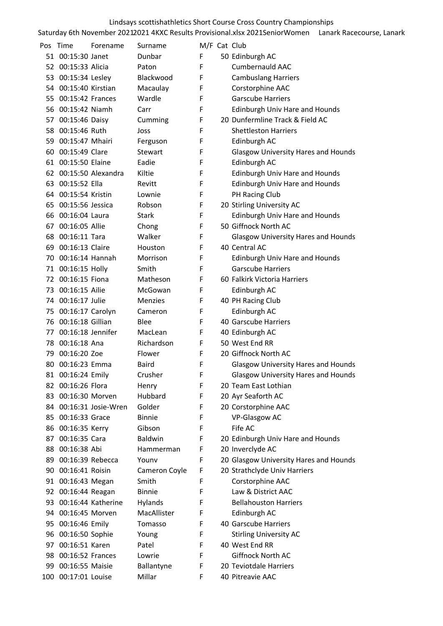| Pos | Time                 | Forename               | Surname        |   | M/F Cat Club                               |
|-----|----------------------|------------------------|----------------|---|--------------------------------------------|
|     | 51 00:15:30 Janet    |                        | Dunbar         | F | 50 Edinburgh AC                            |
|     | 52 00:15:33 Alicia   |                        | Paton          | F | <b>Cumbernauld AAC</b>                     |
|     | 53 00:15:34 Lesley   |                        | Blackwood      | F | <b>Cambuslang Harriers</b>                 |
|     | 54 00:15:40 Kirstian |                        | Macaulay       | F | Corstorphine AAC                           |
|     | 55 00:15:42 Frances  |                        | Wardle         | F | <b>Garscube Harriers</b>                   |
|     | 56 00:15:42 Niamh    |                        | Carr           | F | Edinburgh Univ Hare and Hounds             |
|     | 57 00:15:46 Daisy    |                        | Cumming        | F | 20 Dunfermline Track & Field AC            |
|     | 58 00:15:46 Ruth     |                        | Joss           | F | <b>Shettleston Harriers</b>                |
|     | 59 00:15:47 Mhairi   |                        | Ferguson       | F | Edinburgh AC                               |
|     | 60 00:15:49 Clare    |                        | Stewart        | F | <b>Glasgow University Hares and Hounds</b> |
|     | 61 00:15:50 Elaine   |                        | Eadie          | F | Edinburgh AC                               |
|     |                      | 62 00:15:50 Alexandra  | Kiltie         | F | Edinburgh Univ Hare and Hounds             |
|     | 63 00:15:52 Ella     |                        | Revitt         | F | Edinburgh Univ Hare and Hounds             |
|     | 64 00:15:54 Kristin  |                        | Lownie         | F | PH Racing Club                             |
|     | 65 00:15:56 Jessica  |                        | Robson         | F | 20 Stirling University AC                  |
|     | 66 00:16:04 Laura    |                        | <b>Stark</b>   | F | <b>Edinburgh Univ Hare and Hounds</b>      |
|     | 67 00:16:05 Allie    |                        | Chong          | F | 50 Giffnock North AC                       |
|     | 68 00:16:11 Tara     |                        | Walker         | F | <b>Glasgow University Hares and Hounds</b> |
|     | 69 00:16:13 Claire   |                        | Houston        | F | 40 Central AC                              |
|     | 70 00:16:14 Hannah   |                        | Morrison       | F | Edinburgh Univ Hare and Hounds             |
|     | 71 00:16:15 Holly    |                        | Smith          | F | <b>Garscube Harriers</b>                   |
|     | 72 00:16:15 Fiona    |                        | Matheson       | F | 60 Falkirk Victoria Harriers               |
|     | 73 00:16:15 Ailie    |                        | McGowan        | F | Edinburgh AC                               |
|     | 74 00:16:17 Julie    |                        | Menzies        | F | 40 PH Racing Club                          |
|     | 75 00:16:17 Carolyn  |                        | Cameron        | F | Edinburgh AC                               |
|     | 76 00:16:18 Gillian  |                        | <b>Blee</b>    | F | 40 Garscube Harriers                       |
|     | 77 00:16:18 Jennifer |                        | MacLean        | F | 40 Edinburgh AC                            |
|     | 78 00:16:18 Ana      |                        | Richardson     | F | 50 West End RR                             |
|     | 79 00:16:20 Zoe      |                        | Flower         | F | 20 Giffnock North AC                       |
|     | 80 00:16:23 Emma     |                        | Baird          | F | <b>Glasgow University Hares and Hounds</b> |
|     | 81 00:16:24 Emily    |                        | Crusher        | F | <b>Glasgow University Hares and Hounds</b> |
|     | 82 00:16:26 Flora    |                        | Henry          | F | 20 Team East Lothian                       |
| 83  | 00:16:30 Morven      |                        | Hubbard        | F | 20 Ayr Seaforth AC                         |
|     |                      | 84 00:16:31 Josie-Wren | Golder         | F | 20 Corstorphine AAC                        |
|     | 85 00:16:33 Grace    |                        | <b>Binnie</b>  | F | <b>VP-Glasgow AC</b>                       |
| 86  | 00:16:35 Kerry       |                        | Gibson         | F | Fife AC                                    |
| 87  | 00:16:35 Cara        |                        | <b>Baldwin</b> | F | 20 Edinburgh Univ Hare and Hounds          |
| 88  | 00:16:38 Abi         |                        | Hammerman      | F | 20 Inverclyde AC                           |
| 89  | 00:16:39 Rebecca     |                        | Younv          | F | 20 Glasgow University Hares and Hounds     |
| 90  | 00:16:41 Roisin      |                        | Cameron Coyle  | F | 20 Strathclyde Univ Harriers               |
|     | 91 00:16:43 Megan    |                        | Smith          | F | Corstorphine AAC                           |
|     | 92 00:16:44 Reagan   |                        | <b>Binnie</b>  | F | Law & District AAC                         |
| 93  |                      | 00:16:44 Katherine     | Hylands        | F | <b>Bellahouston Harriers</b>               |
|     | 94 00:16:45 Morven   |                        | MacAllister    | F | Edinburgh AC                               |
| 95  | 00:16:46 Emily       |                        | Tomasso        | F | 40 Garscube Harriers                       |
| 96  | 00:16:50 Sophie      |                        | Young          | F | <b>Stirling University AC</b>              |
| 97  | 00:16:51 Karen       |                        | Patel          | F | 40 West End RR                             |
| 98  | 00:16:52 Frances     |                        | Lowrie         | F | Giffnock North AC                          |
|     | 99 00:16:55 Maisie   |                        | Ballantyne     | F | 20 Teviotdale Harriers                     |
|     | 100 00:17:01 Louise  |                        | Millar         | F | 40 Pitreavie AAC                           |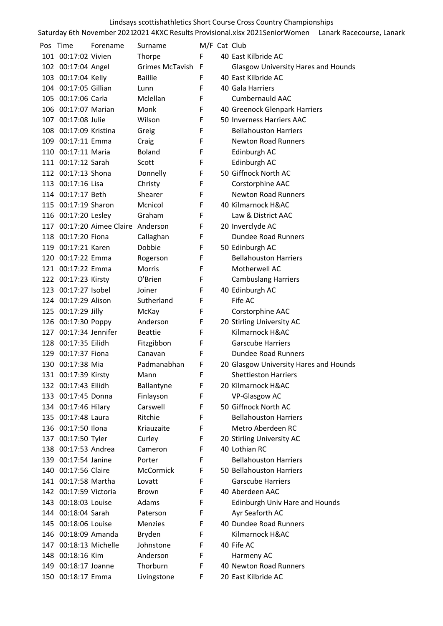| Pos | Time                  | Forename                           | Surname         |    | M/F Cat Club                               |
|-----|-----------------------|------------------------------------|-----------------|----|--------------------------------------------|
|     | 101 00:17:02 Vivien   |                                    | Thorpe          | F. | 40 East Kilbride AC                        |
|     | 102 00:17:04 Angel    |                                    | Grimes McTavish | F  | <b>Glasgow University Hares and Hounds</b> |
|     | 103 00:17:04 Kelly    |                                    | <b>Baillie</b>  | F  | 40 East Kilbride AC                        |
|     | 104 00:17:05 Gillian  |                                    | Lunn            | F  | 40 Gala Harriers                           |
|     | 105 00:17:06 Carla    |                                    | Mclellan        | F  | <b>Cumbernauld AAC</b>                     |
|     | 106 00:17:07 Marian   |                                    | Monk            | F  | 40 Greenock Glenpark Harriers              |
|     | 107 00:17:08 Julie    |                                    | Wilson          | F  | 50 Inverness Harriers AAC                  |
|     | 108 00:17:09 Kristina |                                    | Greig           | F  | <b>Bellahouston Harriers</b>               |
|     | 109 00:17:11 Emma     |                                    | Craig           | F  | <b>Newton Road Runners</b>                 |
|     | 110 00:17:11 Maria    |                                    | <b>Boland</b>   | F  | Edinburgh AC                               |
|     | 111 00:17:12 Sarah    |                                    | Scott           | F  | Edinburgh AC                               |
|     | 112 00:17:13 Shona    |                                    | Donnelly        | F  | 50 Giffnock North AC                       |
|     | 113 00:17:16 Lisa     |                                    | Christy         | F  | Corstorphine AAC                           |
|     | 114 00:17:17 Beth     |                                    | Shearer         | F  | <b>Newton Road Runners</b>                 |
|     | 115 00:17:19 Sharon   |                                    | Mcnicol         | F  | 40 Kilmarnock H&AC                         |
|     | 116 00:17:20 Lesley   |                                    | Graham          | F  | Law & District AAC                         |
|     |                       | 117 00:17:20 Aimee Claire Anderson |                 | F  | 20 Inverclyde AC                           |
|     | 118 00:17:20 Fiona    |                                    | Callaghan       | F  | <b>Dundee Road Runners</b>                 |
|     | 119 00:17:21 Karen    |                                    | Dobbie          | F  | 50 Edinburgh AC                            |
|     | 120 00:17:22 Emma     |                                    | Rogerson        | F  | <b>Bellahouston Harriers</b>               |
|     | 121 00:17:22 Emma     |                                    | <b>Morris</b>   | F  | Motherwell AC                              |
|     | 122 00:17:23 Kirsty   |                                    | O'Brien         | F  | <b>Cambuslang Harriers</b>                 |
|     | 123 00:17:27 Isobel   |                                    | Joiner          | F  | 40 Edinburgh AC                            |
|     | 124 00:17:29 Alison   |                                    | Sutherland      | F  | Fife AC                                    |
|     | 125 00:17:29 Jilly    |                                    | McKay           | F  | Corstorphine AAC                           |
|     | 126 00:17:30 Poppy    |                                    | Anderson        | F  | 20 Stirling University AC                  |
|     | 127 00:17:34 Jennifer |                                    | <b>Beattie</b>  | F  | Kilmarnock H&AC                            |
|     | 128 00:17:35 Eilidh   |                                    | Fitzgibbon      | F  | <b>Garscube Harriers</b>                   |
|     | 129 00:17:37 Fiona    |                                    | Canavan         | F  | <b>Dundee Road Runners</b>                 |
|     | 130 00:17:38 Mia      |                                    | Padmanabhan     | F  | 20 Glasgow University Hares and Hounds     |
|     | 131 00:17:39 Kirsty   |                                    | Mann            | F  | <b>Shettleston Harriers</b>                |
|     | 132 00:17:43 Eilidh   |                                    | Ballantyne      | F  | 20 Kilmarnock H&AC                         |
|     | 133 00:17:45 Donna    |                                    | Finlayson       | F  | VP-Glasgow AC                              |
|     | 134 00:17:46 Hilary   |                                    | Carswell        | F  | 50 Giffnock North AC                       |
|     | 135 00:17:48 Laura    |                                    | Ritchie         | F  | <b>Bellahouston Harriers</b>               |
|     | 136 00:17:50 Ilona    |                                    | Kriauzaite      | F  | Metro Aberdeen RC                          |
|     | 137 00:17:50 Tyler    |                                    | Curley          | F  | 20 Stirling University AC                  |
| 138 | 00:17:53 Andrea       |                                    | Cameron         | F  | 40 Lothian RC                              |
|     | 139 00:17:54 Janine   |                                    | Porter          | F  | <b>Bellahouston Harriers</b>               |
|     | 140 00:17:56 Claire   |                                    | McCormick       | F  | 50 Bellahouston Harriers                   |
|     | 141 00:17:58 Martha   |                                    | Lovatt          | F  | <b>Garscube Harriers</b>                   |
|     | 142 00:17:59 Victoria |                                    | Brown           | F  | 40 Aberdeen AAC                            |
|     | 143 00:18:03 Louise   |                                    | Adams           | F  | <b>Edinburgh Univ Hare and Hounds</b>      |
|     | 144 00:18:04 Sarah    |                                    | Paterson        | F  | Ayr Seaforth AC                            |
|     | 145 00:18:06 Louise   |                                    | <b>Menzies</b>  | F  | 40 Dundee Road Runners                     |
|     | 146 00:18:09 Amanda   |                                    | Bryden          | F  | Kilmarnock H&AC                            |
|     | 147 00:18:13 Michelle |                                    | Johnstone       | F  | 40 Fife AC                                 |
|     | 148 00:18:16 Kim      |                                    | Anderson        | F  | Harmeny AC                                 |
|     | 149 00:18:17 Joanne   |                                    | Thorburn        | F  | 40 Newton Road Runners                     |
|     | 150 00:18:17 Emma     |                                    | Livingstone     | F  | 20 East Kilbride AC                        |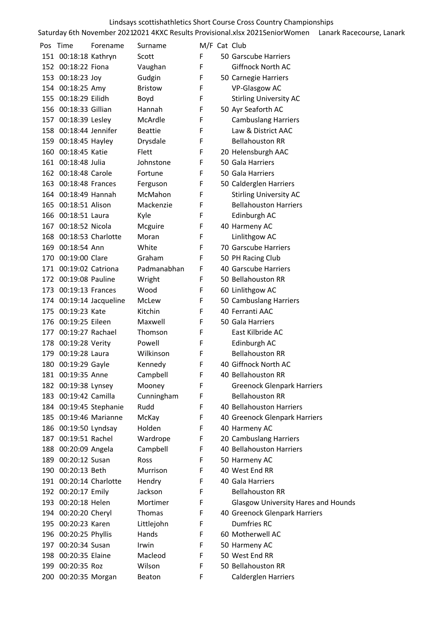| Pos | Time                   | Forename                | Surname        |    | M/F Cat Club                               |
|-----|------------------------|-------------------------|----------------|----|--------------------------------------------|
|     | 151 00:18:18 Kathryn   |                         | Scott          | F  | 50 Garscube Harriers                       |
|     | 152 00:18:22 Fiona     |                         | Vaughan        | F  | Giffnock North AC                          |
|     | 153 00:18:23 Joy       |                         | Gudgin         | F  | 50 Carnegie Harriers                       |
|     | 154 00:18:25 Amy       |                         | <b>Bristow</b> | F  | <b>VP-Glasgow AC</b>                       |
|     | 155 00:18:29 Eilidh    |                         | Boyd           | F  | <b>Stirling University AC</b>              |
|     | 156 00:18:33 Gillian   |                         | Hannah         | F  | 50 Ayr Seaforth AC                         |
|     | 157 00:18:39 Lesley    |                         | McArdle        | F  | <b>Cambuslang Harriers</b>                 |
|     | 158 00:18:44 Jennifer  |                         | <b>Beattie</b> | F  | Law & District AAC                         |
|     | 159 00:18:45 Hayley    |                         | Drysdale       | F  | <b>Bellahouston RR</b>                     |
|     | 160 00:18:45 Katie     |                         | Flett          | F  | 20 Helensburgh AAC                         |
|     | 161 00:18:48 Julia     |                         | Johnstone      | F  | 50 Gala Harriers                           |
|     | 162 00:18:48 Carole    |                         | Fortune        | F  | 50 Gala Harriers                           |
|     | 163 00:18:48 Frances   |                         | Ferguson       | F  | 50 Calderglen Harriers                     |
|     | 164 00:18:49 Hannah    |                         | McMahon        | F  | <b>Stirling University AC</b>              |
|     | 165 00:18:51 Alison    |                         | Mackenzie      | F  | <b>Bellahouston Harriers</b>               |
|     | 166 00:18:51 Laura     |                         | Kyle           | F  | Edinburgh AC                               |
|     | 167 00:18:52 Nicola    |                         | Mcguire        | F  | 40 Harmeny AC                              |
| 168 | 00:18:53 Charlotte     |                         | Moran          | F  | Linlithgow AC                              |
|     | 169 00:18:54 Ann       |                         | White          | F. | 70 Garscube Harriers                       |
|     | 170 00:19:00 Clare     |                         | Graham         | F  | 50 PH Racing Club                          |
|     | 171 00:19:02 Catriona  |                         | Padmanabhan    | F. | 40 Garscube Harriers                       |
|     | 172 00:19:08 Pauline   |                         | Wright         | F  | 50 Bellahouston RR                         |
|     | 173 00:19:13 Frances   |                         | Wood           | F  | 60 Linlithgow AC                           |
|     |                        | 174 00:19:14 Jacqueline | McLew          | F  | 50 Cambuslang Harriers                     |
|     | 175 00:19:23 Kate      |                         | Kitchin        | F  | 40 Ferranti AAC                            |
|     | 176 00:19:25 Eileen    |                         | Maxwell        | F  | 50 Gala Harriers                           |
|     | 177 00:19:27 Rachael   |                         | Thomson        | F  | East Kilbride AC                           |
|     | 178 00:19:28 Verity    |                         | Powell         | F  | Edinburgh AC                               |
|     | 179 00:19:28 Laura     |                         | Wilkinson      | F  | <b>Bellahouston RR</b>                     |
|     | 180 00:19:29 Gayle     |                         | Kennedy        | F  | 40 Giffnock North AC                       |
|     | 181 00:19:35 Anne      |                         | Campbell       | F  | 40 Bellahouston RR                         |
|     | 182 00:19:38 Lynsey    |                         | Mooney         | F  | <b>Greenock Glenpark Harriers</b>          |
|     | 183 00:19:42 Camilla   |                         | Cunningham     | F  | <b>Bellahouston RR</b>                     |
|     |                        | 184 00:19:45 Stephanie  | Rudd           | F  | 40 Bellahouston Harriers                   |
|     | 185 00:19:46 Marianne  |                         | McKay          | F  | 40 Greenock Glenpark Harriers              |
|     | 186 00:19:50 Lyndsay   |                         | Holden         | F  | 40 Harmeny AC                              |
| 187 | 00:19:51 Rachel        |                         | Wardrope       | F  | 20 Cambuslang Harriers                     |
|     | 188 00:20:09 Angela    |                         | Campbell       | F  | 40 Bellahouston Harriers                   |
|     | 189 00:20:12 Susan     |                         | Ross           | F  | 50 Harmeny AC                              |
|     | 190 00:20:13 Beth      |                         | Murrison       | F  | 40 West End RR                             |
|     | 191 00:20:14 Charlotte |                         | Hendry         | F  | 40 Gala Harriers                           |
|     | 192 00:20:17 Emily     |                         | Jackson        | F  | <b>Bellahouston RR</b>                     |
|     | 193 00:20:18 Helen     |                         | Mortimer       | F  | <b>Glasgow University Hares and Hounds</b> |
|     | 194 00:20:20 Cheryl    |                         | Thomas         | F  | 40 Greenock Glenpark Harriers              |
|     | 195 00:20:23 Karen     |                         | Littlejohn     | F  | Dumfries RC                                |
|     | 196 00:20:25 Phyllis   |                         | Hands          | F  | 60 Motherwell AC                           |
|     | 197 00:20:34 Susan     |                         | Irwin          | F  | 50 Harmeny AC                              |
| 198 | 00:20:35 Elaine        |                         | Macleod        | F  | 50 West End RR                             |
|     | 199 00:20:35 Roz       |                         | Wilson         | F  | 50 Bellahouston RR                         |
|     | 200 00:20:35 Morgan    |                         | Beaton         | F  | Calderglen Harriers                        |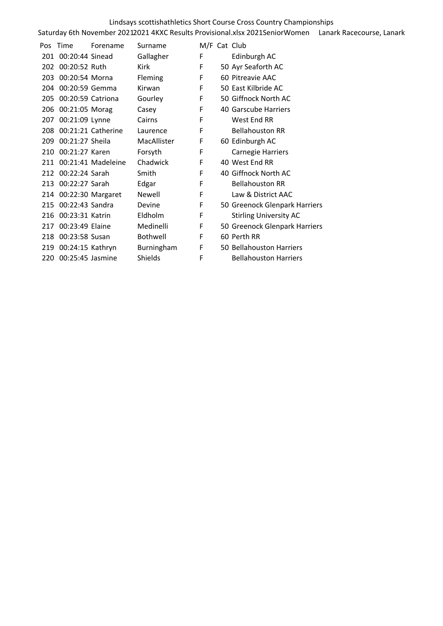|     | Pos Time             | Forename               | Surname         | M/F Cat Club |                               |
|-----|----------------------|------------------------|-----------------|--------------|-------------------------------|
|     | 201 00:20:44 Sinead  |                        | Gallagher       | F            | Edinburgh AC                  |
| 202 | 00:20:52 Ruth        |                        | Kirk            | F            | 50 Ayr Seaforth AC            |
| 203 | 00:20:54 Morna       |                        | <b>Fleming</b>  | F            | 60 Pitreavie AAC              |
|     | 204 00:20:59 Gemma   |                        | Kirwan          | F            | 50 East Kilbride AC           |
| 205 | 00:20:59 Catriona    |                        | Gourley         | F            | 50 Giffnock North AC          |
|     | 206 00:21:05 Morag   |                        | Casey           | F            | 40 Garscube Harriers          |
| 207 | 00:21:09 Lynne       |                        | Cairns          | F            | West End RR                   |
| 208 |                      | 00:21:21 Catherine     | Laurence        | F            | <b>Bellahouston RR</b>        |
| 209 | 00:21:27 Sheila      |                        | MacAllister     | F            | 60 Edinburgh AC               |
| 210 | 00:21:27 Karen       |                        | Forsyth         | F            | <b>Carnegie Harriers</b>      |
|     |                      | 211 00:21:41 Madeleine | Chadwick        | F            | 40 West End RR                |
| 212 | 00:22:24 Sarah       |                        | Smith           | F            | 40 Giffnock North AC          |
|     | 213 00:22:27 Sarah   |                        | Edgar           | F            | <b>Bellahouston RR</b>        |
|     |                      | 214 00:22:30 Margaret  | Newell          | F            | Law & District AAC            |
|     | 215 00:22:43 Sandra  |                        | Devine          | F            | 50 Greenock Glenpark Harriers |
|     | 216 00:23:31 Katrin  |                        | Eldholm         | F            | <b>Stirling University AC</b> |
| 217 | 00:23:49 Elaine      |                        | Medinelli       | F            | 50 Greenock Glenpark Harriers |
|     | 218 00:23:58 Susan   |                        | <b>Bothwell</b> | F            | 60 Perth RR                   |
|     | 219 00:24:15 Kathryn |                        | Burningham      | F            | 50 Bellahouston Harriers      |
|     | 220 00:25:45 Jasmine |                        | Shields         | F            | <b>Bellahouston Harriers</b>  |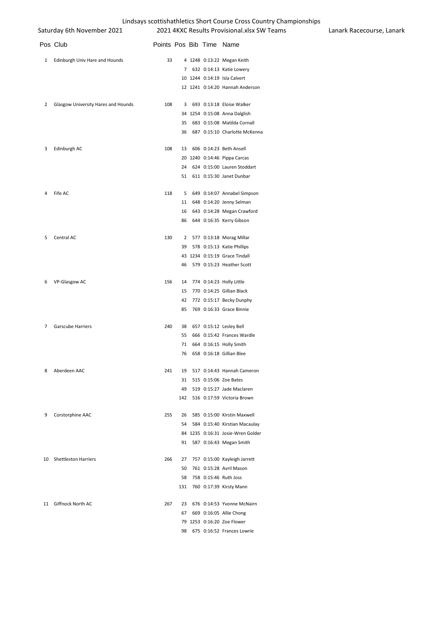|                | Saturday 6th November 2021          |                          |    |  | 2021 4KXC Results Provisional.xlsx SW Teams | Lanark Racecourse, Lanark |
|----------------|-------------------------------------|--------------------------|----|--|---------------------------------------------|---------------------------|
|                | Pos Club                            | Points Pos Bib Time Name |    |  |                                             |                           |
| 1              | Edinburgh Univ Hare and Hounds      | 33                       |    |  | 4 1248 0:13:22 Megan Keith                  |                           |
|                |                                     |                          |    |  | 7 632 0:14:13 Katie Lowery                  |                           |
|                |                                     |                          |    |  | 10 1244 0:14:19 Isla Calvert                |                           |
|                |                                     |                          |    |  | 12 1241 0:14:20 Hannah Anderson             |                           |
| $\mathbf{2}$   | Glasgow University Hares and Hounds | 108                      | 3  |  | 693 0:13:18 Eloise Walker                   |                           |
|                |                                     |                          |    |  | 34 1254 0:15:08 Anna Dalglish               |                           |
|                |                                     |                          | 35 |  | 683 0:15:08 Matilda Cornall                 |                           |
|                |                                     |                          | 36 |  | 687 0:15:10 Charlotte McKenna               |                           |
| 3              | Edinburgh AC                        | 108                      | 13 |  | 606 0:14:23 Beth Ansell                     |                           |
|                |                                     |                          |    |  | 20 1240 0:14:46 Pippa Carcas                |                           |
|                |                                     |                          | 24 |  | 624 0:15:00 Lauren Stoddart                 |                           |
|                |                                     |                          | 51 |  | 611 0:15:30 Janet Dunbar                    |                           |
| 4              | Fife AC                             | 118                      | 5  |  | 649 0:14:07 Annabel Simpson                 |                           |
|                |                                     |                          | 11 |  | 648 0:14:20 Jenny Selman                    |                           |
|                |                                     |                          | 16 |  | 643 0:14:28 Megan Crawford                  |                           |
|                |                                     |                          | 86 |  | 644 0:16:35 Kerry Gibson                    |                           |
| 5              | Central AC                          | 130                      |    |  | 2 577 0:13:18 Morag Millar                  |                           |
|                |                                     |                          | 39 |  | 578 0:15:13 Katie Phillips                  |                           |
|                |                                     |                          |    |  | 43 1234 0:15:19 Grace Tindall               |                           |
|                |                                     |                          | 46 |  | 579 0:15:23 Heather Scott                   |                           |
| 6              | VP-Glasgow AC                       | 156                      | 14 |  | 774 0:14:23 Holly Little                    |                           |
|                |                                     |                          | 15 |  | 770 0:14:25 Gillian Black                   |                           |
|                |                                     |                          | 42 |  | 772 0:15:17 Becky Dunphy                    |                           |
|                |                                     |                          | 85 |  | 769 0:16:33 Grace Binnie                    |                           |
| $\overline{7}$ | Garscube Harriers                   | 240                      | 38 |  | 657 0:15:12 Lesley Bell                     |                           |
|                |                                     |                          | 55 |  | 666 0:15:42 Frances Wardle                  |                           |
|                |                                     |                          | 71 |  | 664 0:16:15 Holly Smith                     |                           |
|                |                                     |                          | 76 |  | 658 0:16:18 Gillian Blee                    |                           |
| 8              | Aberdeen AAC                        | 241                      | 19 |  | 517 0:14:43 Hannah Cameron                  |                           |
|                |                                     |                          | 31 |  | 515 0:15:06 Zoe Bates                       |                           |
|                |                                     |                          | 49 |  | 519 0:15:27 Jade Maclaren                   |                           |
|                |                                     |                          |    |  | 142 516 0:17:59 Victoria Brown              |                           |
| 9              | Corstorphine AAC                    | 255                      | 26 |  | 585 0:15:00 Kirstin Maxwell                 |                           |
|                |                                     |                          | 54 |  | 584 0:15:40 Kirstian Macaulay               |                           |
|                |                                     |                          |    |  | 84 1235 0:16:31 Josie-Wren Golder           |                           |
|                |                                     |                          |    |  | 91 587 0:16:43 Megan Smith                  |                           |
|                | 10 Shettleston Harriers             | 266                      | 27 |  | 757 0:15:00 Kayleigh Jarrett                |                           |
|                |                                     |                          | 50 |  | 761 0:15:28 Avril Mason                     |                           |
|                |                                     |                          | 58 |  | 758 0:15:46 Ruth Joss                       |                           |
|                |                                     |                          |    |  | 131 760 0:17:39 Kirsty Mann                 |                           |
|                | 11 Giffnock North AC                | 267                      | 23 |  | 676 0:14:53 Yvonne McNairn                  |                           |
|                |                                     |                          | 67 |  | 669 0:16:05 Allie Chong                     |                           |
|                |                                     |                          |    |  | 79 1253 0:16:20 Zoe Flower                  |                           |
|                |                                     |                          | 98 |  | 675 0:16:52 Frances Lowrie                  |                           |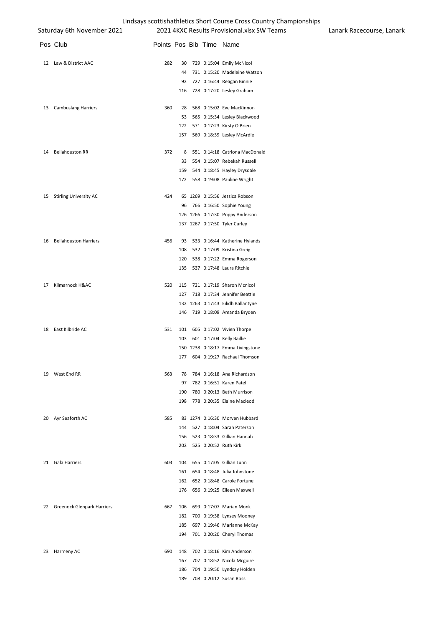|    | Saturday 6th November 2021        |                          |     |  | 2021 4KXC Results Provisional.xlsx SW Teams | Lanark Racecourse, Lanark |
|----|-----------------------------------|--------------------------|-----|--|---------------------------------------------|---------------------------|
|    | Pos Club                          | Points Pos Bib Time Name |     |  |                                             |                           |
|    | 12 Law & District AAC             | 282                      | 30  |  | 729 0:15:04 Emily McNicol                   |                           |
|    |                                   |                          | 44  |  | 731 0:15:20 Madeleine Watson                |                           |
|    |                                   |                          |     |  | 92 727 0:16:44 Reagan Binnie                |                           |
|    |                                   |                          |     |  | 116 728 0:17:20 Lesley Graham               |                           |
| 13 | <b>Cambuslang Harriers</b>        | 360                      | 28  |  | 568 0:15:02 Eve MacKinnon                   |                           |
|    |                                   |                          | 53  |  | 565 0:15:34 Lesley Blackwood                |                           |
|    |                                   |                          |     |  | 122 571 0:17:23 Kirsty O'Brien              |                           |
|    |                                   |                          |     |  | 157 569 0:18:39 Lesley McArdle              |                           |
| 14 | <b>Bellahouston RR</b>            | 372                      | 8   |  | 551 0:14:18 Catriona MacDonald              |                           |
|    |                                   |                          | 33  |  | 554 0:15:07 Rebekah Russell                 |                           |
|    |                                   |                          | 159 |  | 544 0:18:45 Hayley Drysdale                 |                           |
|    |                                   |                          |     |  | 172 558 0:19:08 Pauline Wright              |                           |
| 15 | <b>Stirling University AC</b>     | 424                      |     |  | 65 1269 0:15:56 Jessica Robson              |                           |
|    |                                   |                          | 96  |  | 766 0:16:50 Sophie Young                    |                           |
|    |                                   |                          |     |  | 126 1266 0:17:30 Poppy Anderson             |                           |
|    |                                   |                          |     |  | 137 1267 0:17:50 Tyler Curley               |                           |
| 16 | <b>Bellahouston Harriers</b>      | 456                      | 93  |  | 533 0:16:44 Katherine Hylands               |                           |
|    |                                   |                          | 108 |  | 532 0:17:09 Kristina Greig                  |                           |
|    |                                   |                          | 120 |  | 538 0:17:22 Emma Rogerson                   |                           |
|    |                                   |                          | 135 |  | 537 0:17:48 Laura Ritchie                   |                           |
| 17 | Kilmarnock H&AC                   | 520                      | 115 |  | 721 0:17:19 Sharon Mcnicol                  |                           |
|    |                                   |                          | 127 |  | 718 0:17:34 Jennifer Beattie                |                           |
|    |                                   |                          |     |  | 132 1263 0:17:43 Eilidh Ballantyne          |                           |
|    |                                   |                          | 146 |  | 719 0:18:09 Amanda Bryden                   |                           |
|    | 18 East Kilbride AC               | 531                      | 101 |  | 605 0:17:02 Vivien Thorpe                   |                           |
|    |                                   |                          | 103 |  | 601 0:17:04 Kelly Baillie                   |                           |
|    |                                   |                          |     |  | 150 1238 0:18:17 Emma Livingstone           |                           |
|    |                                   |                          |     |  | 177 604 0:19:27 Rachael Thomson             |                           |
| 19 | West End RR                       | 563                      | 78  |  | 784 0:16:18 Ana Richardson                  |                           |
|    |                                   |                          | 97  |  | 782 0:16:51 Karen Patel                     |                           |
|    |                                   |                          | 190 |  | 780 0:20:13 Beth Murrison                   |                           |
|    |                                   |                          | 198 |  | 778 0:20:35 Elaine Macleod                  |                           |
| 20 | Ayr Seaforth AC                   | 585                      |     |  | 83 1274 0:16:30 Morven Hubbard              |                           |
|    |                                   |                          | 144 |  | 527 0:18:04 Sarah Paterson                  |                           |
|    |                                   |                          | 156 |  | 523 0:18:33 Gillian Hannah                  |                           |
|    |                                   |                          | 202 |  | 525 0:20:52 Ruth Kirk                       |                           |
| 21 | Gala Harriers                     | 603                      | 104 |  | 655 0:17:05 Gillian Lunn                    |                           |
|    |                                   |                          | 161 |  | 654 0:18:48 Julia Johnstone                 |                           |
|    |                                   |                          | 162 |  | 652 0:18:48 Carole Fortune                  |                           |
|    |                                   |                          | 176 |  | 656 0:19:25 Eileen Maxwell                  |                           |
| 22 | <b>Greenock Glenpark Harriers</b> | 667                      | 106 |  | 699 0:17:07 Marian Monk                     |                           |
|    |                                   |                          | 182 |  | 700 0:19:38 Lynsey Mooney                   |                           |
|    |                                   |                          | 185 |  | 697 0:19:46 Marianne McKay                  |                           |
|    |                                   |                          | 194 |  | 701 0:20:20 Cheryl Thomas                   |                           |
| 23 | Harmeny AC                        | 690                      | 148 |  | 702 0:18:16 Kim Anderson                    |                           |
|    |                                   |                          | 167 |  | 707 0:18:52 Nicola Mcguire                  |                           |
|    |                                   |                          | 186 |  | 704 0:19:50 Lyndsay Holden                  |                           |
|    |                                   |                          | 189 |  | 708 0:20:12 Susan Ross                      |                           |
|    |                                   |                          |     |  |                                             |                           |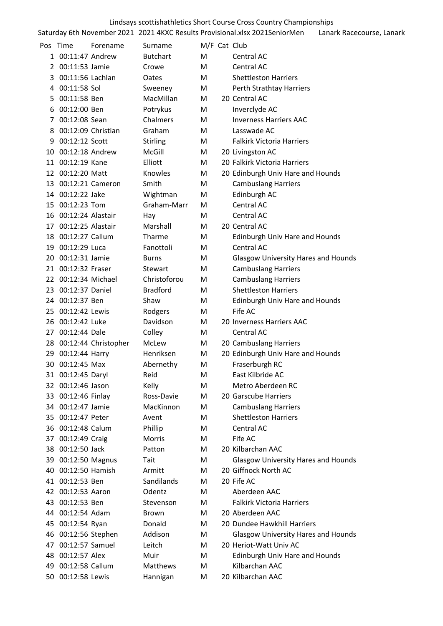|          | Lindsays scottishathletics Short Course Cross Country Championships |                         |                         |              |  |                                                                             |                           |  |  |  |
|----------|---------------------------------------------------------------------|-------------------------|-------------------------|--------------|--|-----------------------------------------------------------------------------|---------------------------|--|--|--|
|          |                                                                     |                         |                         |              |  | Saturday 6th November 2021 2021 4KXC Results Provisional.xlsx 2021SeniorMen | Lanark Racecourse, Lanark |  |  |  |
| Pos Time |                                                                     | Forename                | Surname                 | M/F Cat Club |  |                                                                             |                           |  |  |  |
|          | 1 00:11:47 Andrew                                                   |                         | <b>Butchart</b>         | M            |  | Central AC                                                                  |                           |  |  |  |
|          | 2 00:11:53 Jamie                                                    |                         | Crowe                   | M            |  | Central AC                                                                  |                           |  |  |  |
| 3        | 00:11:56 Lachlan                                                    |                         | Oates                   | M            |  | <b>Shettleston Harriers</b>                                                 |                           |  |  |  |
|          | 4 00:11:58 Sol                                                      |                         | Sweeney                 | M            |  | Perth Strathtay Harriers                                                    |                           |  |  |  |
| 5        | 00:11:58 Ben                                                        |                         | MacMillan               | M            |  | 20 Central AC                                                               |                           |  |  |  |
| 6        | 00:12:00 Ben                                                        |                         | Potrykus                | M            |  | Inverclyde AC                                                               |                           |  |  |  |
| 7        | 00:12:08 Sean                                                       |                         | Chalmers                | M            |  | <b>Inverness Harriers AAC</b>                                               |                           |  |  |  |
| 8        | 00:12:09 Christian                                                  |                         | Graham                  | M            |  | Lasswade AC                                                                 |                           |  |  |  |
| 9        | 00:12:12 Scott                                                      |                         | Stirling                | M            |  | <b>Falkirk Victoria Harriers</b>                                            |                           |  |  |  |
|          | 10 00:12:18 Andrew                                                  |                         | McGill                  | M            |  | 20 Livingston AC                                                            |                           |  |  |  |
| 11       | 00:12:19 Kane                                                       |                         | Elliott                 | M            |  | 20 Falkirk Victoria Harriers                                                |                           |  |  |  |
|          | 12 00:12:20 Matt                                                    |                         | Knowles                 | M            |  | 20 Edinburgh Univ Hare and Hounds                                           |                           |  |  |  |
| 13       | 00:12:21 Cameron                                                    |                         | Smith                   | M            |  | <b>Cambuslang Harriers</b>                                                  |                           |  |  |  |
|          | 14 00:12:22 Jake                                                    |                         | Wightman                | M            |  | Edinburgh AC                                                                |                           |  |  |  |
|          | 15 00:12:23 Tom                                                     |                         | Graham-Marr             | M            |  | Central AC                                                                  |                           |  |  |  |
|          | 16 00:12:24 Alastair                                                |                         | Hay                     | M            |  | Central AC                                                                  |                           |  |  |  |
|          | 17 00:12:25 Alastair                                                |                         | Marshall                | M            |  | 20 Central AC                                                               |                           |  |  |  |
| 18       | 00:12:27 Callum                                                     |                         | Tharme                  | M            |  |                                                                             |                           |  |  |  |
|          | 19 00:12:29 Luca                                                    |                         | Fanottoli               | M            |  | <b>Edinburgh Univ Hare and Hounds</b><br>Central AC                         |                           |  |  |  |
|          | 20 00:12:31 Jamie                                                   |                         |                         |              |  |                                                                             |                           |  |  |  |
|          | 21 00:12:32 Fraser                                                  |                         | <b>Burns</b><br>Stewart | M            |  | <b>Glasgow University Hares and Hounds</b>                                  |                           |  |  |  |
|          |                                                                     |                         | Christoforou            | M            |  | <b>Cambuslang Harriers</b>                                                  |                           |  |  |  |
|          | 22 00:12:34 Michael                                                 |                         |                         | M            |  | <b>Cambuslang Harriers</b>                                                  |                           |  |  |  |
|          | 23 00:12:37 Daniel                                                  |                         | <b>Bradford</b>         | M            |  | <b>Shettleston Harriers</b>                                                 |                           |  |  |  |
| 24       | 00:12:37 Ben                                                        |                         | Shaw                    | M            |  | <b>Edinburgh Univ Hare and Hounds</b>                                       |                           |  |  |  |
| 25       | 00:12:42 Lewis                                                      |                         | Rodgers                 | M            |  | Fife AC                                                                     |                           |  |  |  |
|          | 26 00:12:42 Luke                                                    |                         | Davidson                | M            |  | 20 Inverness Harriers AAC                                                   |                           |  |  |  |
| 27       | 00:12:44 Dale                                                       |                         | Colley                  | M            |  | Central AC                                                                  |                           |  |  |  |
|          |                                                                     | 28 00:12:44 Christopher | McLew                   | M            |  | 20 Cambuslang Harriers                                                      |                           |  |  |  |
|          | 29 00:12:44 Harry                                                   |                         | Henriksen               | M            |  | 20 Edinburgh Univ Hare and Hounds                                           |                           |  |  |  |
|          | 30 00:12:45 Max                                                     |                         | Abernethy               | M            |  | Fraserburgh RC                                                              |                           |  |  |  |
|          | 31 00:12:45 Daryl                                                   |                         | Reid                    | М            |  | East Kilbride AC                                                            |                           |  |  |  |
| 32       | 00:12:46 Jason                                                      |                         | Kelly                   | M            |  | Metro Aberdeen RC                                                           |                           |  |  |  |
|          | 33 00:12:46 Finlay                                                  |                         | Ross-Davie              | M            |  | 20 Garscube Harriers                                                        |                           |  |  |  |
| 34       | 00:12:47 Jamie                                                      |                         | MacKinnon               | M            |  | <b>Cambuslang Harriers</b>                                                  |                           |  |  |  |
| 35.      | 00:12:47 Peter                                                      |                         | Avent                   | M            |  | <b>Shettleston Harriers</b>                                                 |                           |  |  |  |
|          | 36 00:12:48 Calum                                                   |                         | Phillip                 | М            |  | Central AC                                                                  |                           |  |  |  |
| 37       | 00:12:49 Craig                                                      |                         | Morris                  | М            |  | Fife AC                                                                     |                           |  |  |  |
|          | 38 00:12:50 Jack                                                    |                         | Patton                  | М            |  | 20 Kilbarchan AAC                                                           |                           |  |  |  |
| 39       | 00:12:50 Magnus                                                     |                         | Tait                    | М            |  | <b>Glasgow University Hares and Hounds</b>                                  |                           |  |  |  |
| 40       | 00:12:50 Hamish                                                     |                         | Armitt                  | M            |  | 20 Giffnock North AC                                                        |                           |  |  |  |
|          | 41 00:12:53 Ben                                                     |                         | Sandilands              | м            |  | 20 Fife AC                                                                  |                           |  |  |  |
|          | 42 00:12:53 Aaron                                                   |                         | Odentz                  | M            |  | Aberdeen AAC                                                                |                           |  |  |  |
|          | 43 00:12:53 Ben                                                     |                         | Stevenson               | М            |  | <b>Falkirk Victoria Harriers</b>                                            |                           |  |  |  |
| 44       | 00:12:54 Adam                                                       |                         | <b>Brown</b>            | M            |  | 20 Aberdeen AAC                                                             |                           |  |  |  |
| 45       | 00:12:54 Ryan                                                       |                         | Donald                  | М            |  | 20 Dundee Hawkhill Harriers                                                 |                           |  |  |  |
|          | 46 00:12:56 Stephen                                                 |                         | Addison                 | M            |  | <b>Glasgow University Hares and Hounds</b>                                  |                           |  |  |  |
| 47       | 00:12:57 Samuel                                                     |                         | Leitch                  | M            |  | 20 Heriot-Watt Univ AC                                                      |                           |  |  |  |
| 48       | 00:12:57 Alex                                                       |                         | Muir                    | M            |  | Edinburgh Univ Hare and Hounds                                              |                           |  |  |  |
| 49       | 00:12:58 Callum                                                     |                         | Matthews                | M            |  | Kilbarchan AAC                                                              |                           |  |  |  |
|          | 50 00:12:58 Lewis                                                   |                         | Hannigan                | M            |  | 20 Kilbarchan AAC                                                           |                           |  |  |  |
|          |                                                                     |                         |                         |              |  |                                                                             |                           |  |  |  |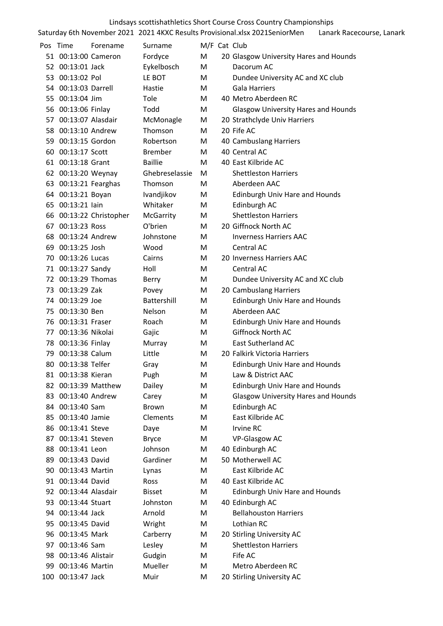|     |                      |                         |                |              | Lindsays scottishathletics Short Course Cross Country Championships                                      |
|-----|----------------------|-------------------------|----------------|--------------|----------------------------------------------------------------------------------------------------------|
|     |                      |                         |                |              | Saturday 6th November 2021 2021 4KXC Results Provisional.xlsx 2021SeniorMen<br>Lanark Racecourse, Lanark |
|     | Pos Time             | Forename                | Surname        | M/F Cat Club |                                                                                                          |
|     | 51 00:13:00 Cameron  |                         | Fordyce        | М            | 20 Glasgow University Hares and Hounds                                                                   |
|     | 52 00:13:01 Jack     |                         | Eykelbosch     | М            | Dacorum AC                                                                                               |
|     | 53 00:13:02 Pol      |                         | LE BOT         | M            | Dundee University AC and XC club                                                                         |
|     | 54 00:13:03 Darrell  |                         | Hastie         | м            | <b>Gala Harriers</b>                                                                                     |
|     | 55 00:13:04 Jim      |                         | Tole           | М            | 40 Metro Aberdeen RC                                                                                     |
|     | 56 00:13:06 Finlay   |                         | Todd           | M            | <b>Glasgow University Hares and Hounds</b>                                                               |
|     | 57 00:13:07 Alasdair |                         | McMonagle      | M            | 20 Strathclyde Univ Harriers                                                                             |
|     | 58 00:13:10 Andrew   |                         | Thomson        | М            | 20 Fife AC                                                                                               |
|     | 59 00:13:15 Gordon   |                         | Robertson      | M            | 40 Cambuslang Harriers                                                                                   |
|     | 60 00:13:17 Scott    |                         | <b>Brember</b> | М            | 40 Central AC                                                                                            |
|     | 61 00:13:18 Grant    |                         | <b>Baillie</b> | М            | 40 East Kilbride AC                                                                                      |
|     | 62 00:13:20 Weynay   |                         | Ghebreselassie | M            | <b>Shettleston Harriers</b>                                                                              |
|     | 63 00:13:21 Fearghas |                         | Thomson        | М            | Aberdeen AAC                                                                                             |
|     | 64 00:13:21 Boyan    |                         | Ivandjikov     | M            | <b>Edinburgh Univ Hare and Hounds</b>                                                                    |
|     | 65 00:13:21 lain     |                         | Whitaker       | M            | Edinburgh AC                                                                                             |
|     |                      | 66 00:13:22 Christopher | McGarrity      | M            | <b>Shettleston Harriers</b>                                                                              |
|     | 67 00:13:23 Ross     |                         | O'brien        | М            | 20 Giffnock North AC                                                                                     |
|     | 68 00:13:24 Andrew   |                         | Johnstone      | M            | <b>Inverness Harriers AAC</b>                                                                            |
|     | 69 00:13:25 Josh     |                         | Wood           | М            | Central AC                                                                                               |
|     | 70 00:13:26 Lucas    |                         | Cairns         | М            | 20 Inverness Harriers AAC                                                                                |
|     | 71 00:13:27 Sandy    |                         | Holl           | М            | Central AC                                                                                               |
|     | 72 00:13:29 Thomas   |                         | Berry          | M            | Dundee University AC and XC club                                                                         |
|     | 73 00:13:29 Zak      |                         | Povey          | М            | 20 Cambuslang Harriers                                                                                   |
|     | 74 00:13:29 Joe      |                         | Battershill    | M            | <b>Edinburgh Univ Hare and Hounds</b>                                                                    |
|     | 75 00:13:30 Ben      |                         | Nelson         | М            | Aberdeen AAC                                                                                             |
|     | 76 00:13:31 Fraser   |                         | Roach          | М            | <b>Edinburgh Univ Hare and Hounds</b>                                                                    |
| 77. | 00:13:36 Nikolai     |                         | Gajic          | M            | Giffnock North AC                                                                                        |
|     | 78 00:13:36 Finlay   |                         | Murray         | м            | East Sutherland AC                                                                                       |
| 79  | 00:13:38 Calum       |                         | Little         | М            | 20 Falkirk Victoria Harriers                                                                             |
| 80. | 00:13:38 Telfer      |                         | Gray           | M            | <b>Edinburgh Univ Hare and Hounds</b>                                                                    |
|     | 81 00:13:38 Kieran   |                         | Pugh           | M            | Law & District AAC                                                                                       |
|     | 82 00:13:39 Matthew  |                         | Dailey         | M            | <b>Edinburgh Univ Hare and Hounds</b>                                                                    |
|     | 83 00:13:40 Andrew   |                         | Carey          | M            | <b>Glasgow University Hares and Hounds</b>                                                               |
|     | 84 00:13:40 Sam      |                         | <b>Brown</b>   | M            | Edinburgh AC                                                                                             |
|     | 85 00:13:40 Jamie    |                         | Clements       | М            | East Kilbride AC                                                                                         |
|     | 86 00:13:41 Steve    |                         | Daye           | M            | Irvine RC                                                                                                |
| 87  | 00:13:41 Steven      |                         | <b>Bryce</b>   | M            | <b>VP-Glasgow AC</b>                                                                                     |
|     | 88 00:13:41 Leon     |                         | Johnson        | М            | 40 Edinburgh AC                                                                                          |
| 89. | 00:13:43 David       |                         | Gardiner       | М            | 50 Motherwell AC                                                                                         |
| 90. | 00:13:43 Martin      |                         | Lynas          | M            | East Kilbride AC                                                                                         |
|     | 91 00:13:44 David    |                         | Ross           | M            | 40 East Kilbride AC                                                                                      |
|     | 92 00:13:44 Alasdair |                         | <b>Bisset</b>  | M            | <b>Edinburgh Univ Hare and Hounds</b>                                                                    |
| 93  | 00:13:44 Stuart      |                         | Johnston       | M            | 40 Edinburgh AC                                                                                          |
|     | 94 00:13:44 Jack     |                         | Arnold         | М            | <b>Bellahouston Harriers</b>                                                                             |
| 95  | 00:13:45 David       |                         | Wright         | M            | Lothian RC                                                                                               |
|     | 96 00:13:45 Mark     |                         | Carberry       | M            | 20 Stirling University AC                                                                                |
| 97  | 00:13:46 Sam         |                         | Lesley         | M            | <b>Shettleston Harriers</b>                                                                              |
| 98  | 00:13:46 Alistair    |                         | Gudgin         | M            | Fife AC                                                                                                  |
|     | 99 00:13:46 Martin   |                         | Mueller        | M            | Metro Aberdeen RC                                                                                        |
|     | 100 00:13:47 Jack    |                         | Muir           | M            | 20 Stirling University AC                                                                                |
|     |                      |                         |                |              |                                                                                                          |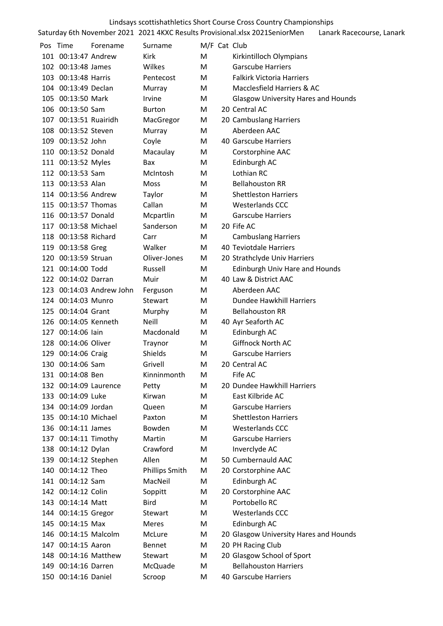|                                           |                          |                    |              | Lindsays scottishathletics Short Course Cross Country Championships         |                           |
|-------------------------------------------|--------------------------|--------------------|--------------|-----------------------------------------------------------------------------|---------------------------|
|                                           |                          |                    |              | Saturday 6th November 2021 2021 4KXC Results Provisional.xlsx 2021SeniorMen | Lanark Racecourse, Lanark |
| Pos Time                                  | Forename                 | Surname            | M/F Cat Club |                                                                             |                           |
| 101 00:13:47 Andrew                       |                          | Kirk               | М            | Kirkintilloch Olympians                                                     |                           |
| 102 00:13:48 James                        |                          | Wilkes             | M            | <b>Garscube Harriers</b>                                                    |                           |
| 103 00:13:48 Harris                       |                          | Pentecost          | M            | <b>Falkirk Victoria Harriers</b>                                            |                           |
| 104 00:13:49 Declan                       |                          | Murray             | М            | Macclesfield Harriers & AC                                                  |                           |
| 105 00:13:50 Mark                         |                          | Irvine             | M            | <b>Glasgow University Hares and Hounds</b>                                  |                           |
| 106 00:13:50 Sam                          |                          | <b>Burton</b>      | M            | 20 Central AC                                                               |                           |
| 107 00:13:51 Ruairidh                     |                          | MacGregor          | М            | 20 Cambuslang Harriers                                                      |                           |
| 108 00:13:52 Steven                       |                          | Murray             | М            | Aberdeen AAC                                                                |                           |
| 109 00:13:52 John                         |                          | Coyle              | М            | 40 Garscube Harriers                                                        |                           |
| 110 00:13:52 Donald                       |                          | Macaulay           | M            | Corstorphine AAC                                                            |                           |
| 111 00:13:52 Myles                        |                          | Bax                | M            | Edinburgh AC                                                                |                           |
| 112 00:13:53 Sam                          |                          | McIntosh           | M            | Lothian RC                                                                  |                           |
| 113 00:13:53 Alan                         |                          | Moss               | М            | <b>Bellahouston RR</b>                                                      |                           |
| 114 00:13:56 Andrew                       |                          | Taylor             | М            | <b>Shettleston Harriers</b>                                                 |                           |
| 115 00:13:57 Thomas                       |                          | Callan             | M            | Westerlands CCC                                                             |                           |
| 116 00:13:57 Donald                       |                          | Mcpartlin          | M            | <b>Garscube Harriers</b>                                                    |                           |
| 117 00:13:58 Michael                      |                          | Sanderson          | M            | 20 Fife AC                                                                  |                           |
| 118 00:13:58 Richard                      |                          | Carr               | M            | <b>Cambuslang Harriers</b>                                                  |                           |
| 119 00:13:58 Greg                         |                          | Walker             | M            | 40 Teviotdale Harriers                                                      |                           |
| 120 00:13:59 Struan                       |                          | Oliver-Jones       | M            | 20 Strathclyde Univ Harriers                                                |                           |
| 121 00:14:00 Todd                         |                          | Russell            | M            | <b>Edinburgh Univ Hare and Hounds</b>                                       |                           |
| 122 00:14:02 Darran                       |                          | Muir               | М            | 40 Law & District AAC                                                       |                           |
|                                           | 123 00:14:03 Andrew John | Ferguson           | M            | Aberdeen AAC                                                                |                           |
| 124 00:14:03 Munro                        |                          | Stewart            | М            | Dundee Hawkhill Harriers                                                    |                           |
| 125 00:14:04 Grant                        |                          |                    |              | <b>Bellahouston RR</b>                                                      |                           |
|                                           |                          | Murphy             | М            |                                                                             |                           |
| 126 00:14:05 Kenneth<br>127 00:14:06 lain |                          | Neill              | M            | 40 Ayr Seaforth AC                                                          |                           |
| 128 00:14:06 Oliver                       |                          | Macdonald          | М            | Edinburgh AC<br>Giffnock North AC                                           |                           |
|                                           |                          | Traynor            | Μ            |                                                                             |                           |
| 129 00:14:06 Craig<br>130 00:14:06 Sam    |                          | Shields<br>Grivell | M            | <b>Garscube Harriers</b><br>20 Central AC                                   |                           |
|                                           |                          |                    | Μ            |                                                                             |                           |
| 131 00:14:08 Ben                          |                          | Kinninmonth        | Μ            | Fife AC                                                                     |                           |
| 132 00:14:09 Laurence                     |                          | Petty              | Μ            | 20 Dundee Hawkhill Harriers                                                 |                           |
| 133 00:14:09 Luke                         |                          | Kirwan             | М            | East Kilbride AC                                                            |                           |
| 134 00:14:09 Jordan                       |                          | Queen              | Μ            | <b>Garscube Harriers</b>                                                    |                           |
| 135 00:14:10 Michael                      |                          | Paxton             | M            | <b>Shettleston Harriers</b>                                                 |                           |
| 136 00:14:11 James                        |                          | Bowden             | M            | <b>Westerlands CCC</b>                                                      |                           |
| 137 00:14:11 Timothy                      |                          | Martin             | М            | <b>Garscube Harriers</b>                                                    |                           |
| 138 00:14:12 Dylan                        |                          | Crawford           | М            | Inverclyde AC                                                               |                           |
| 139 00:14:12 Stephen                      |                          | Allen              | Μ            | 50 Cumbernauld AAC                                                          |                           |
| 140 00:14:12 Theo                         |                          | Phillips Smith     | M            | 20 Corstorphine AAC                                                         |                           |
| 141 00:14:12 Sam                          |                          | MacNeil            | М            | Edinburgh AC                                                                |                           |
| 142 00:14:12 Colin                        |                          | Soppitt            | M            | 20 Corstorphine AAC                                                         |                           |
| 143 00:14:14 Matt                         |                          | Bird               | м            | Portobello RC                                                               |                           |
| 144 00:14:15 Gregor                       |                          | Stewart            | Μ            | <b>Westerlands CCC</b>                                                      |                           |
| 145 00:14:15 Max                          |                          | Meres              | M            | Edinburgh AC                                                                |                           |
| 146 00:14:15 Malcolm                      |                          | McLure             | М            | 20 Glasgow University Hares and Hounds                                      |                           |
| 147 00:14:15 Aaron                        |                          | Bennet             | M            | 20 PH Racing Club                                                           |                           |
| 148 00:14:16 Matthew                      |                          | Stewart            | M            | 20 Glasgow School of Sport                                                  |                           |
| 149 00:14:16 Darren                       |                          | McQuade            | M            | <b>Bellahouston Harriers</b>                                                |                           |
| 150 00:14:16 Daniel                       |                          | Scroop             | М            | 40 Garscube Harriers                                                        |                           |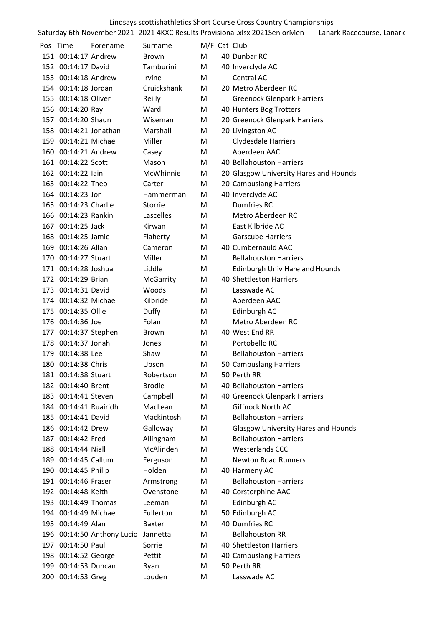|                                            |                            |                |              | Lindsays scottishathletics Short Course Cross Country Championships         |                           |
|--------------------------------------------|----------------------------|----------------|--------------|-----------------------------------------------------------------------------|---------------------------|
|                                            |                            |                |              | Saturday 6th November 2021 2021 4KXC Results Provisional.xlsx 2021SeniorMen | Lanark Racecourse, Lanark |
| Pos Time                                   | Forename                   | Surname        | M/F Cat Club |                                                                             |                           |
| 151 00:14:17 Andrew                        |                            | <b>Brown</b>   | M            | 40 Dunbar RC                                                                |                           |
| 152 00:14:17 David                         |                            | Tamburini      | M            | 40 Inverclyde AC                                                            |                           |
| 153 00:14:18 Andrew                        |                            | Irvine         | М            | Central AC                                                                  |                           |
| 154 00:14:18 Jordan                        |                            | Cruickshank    | М            | 20 Metro Aberdeen RC                                                        |                           |
| 155 00:14:18 Oliver                        |                            | Reilly         | М            | <b>Greenock Glenpark Harriers</b>                                           |                           |
| 156 00:14:20 Ray                           |                            | Ward           | M            | 40 Hunters Bog Trotters                                                     |                           |
| 157 00:14:20 Shaun                         |                            | Wiseman        | M            | 20 Greenock Glenpark Harriers                                               |                           |
| 158 00:14:21 Jonathan                      |                            | Marshall       | M            | 20 Livingston AC                                                            |                           |
| 159 00:14:21 Michael                       |                            | Miller         | М            | <b>Clydesdale Harriers</b>                                                  |                           |
| 160 00:14:21 Andrew                        |                            | Casey          | M            | Aberdeen AAC                                                                |                           |
| 161 00:14:22 Scott                         |                            | Mason          | М            | 40 Bellahouston Harriers                                                    |                           |
| 162 00:14:22 lain                          |                            | McWhinnie      | М            | 20 Glasgow University Hares and Hounds                                      |                           |
| 163 00:14:22 Theo                          |                            | Carter         | M            | 20 Cambuslang Harriers                                                      |                           |
| 164 00:14:23 Jon                           |                            | Hammerman      | М            | 40 Inverclyde AC                                                            |                           |
| 165 00:14:23 Charlie                       |                            | Storrie        | М            | <b>Dumfries RC</b>                                                          |                           |
| 166 00:14:23 Rankin                        |                            | Lascelles      | М            | Metro Aberdeen RC                                                           |                           |
| 167 00:14:25 Jack                          |                            | Kirwan         | М            | East Kilbride AC                                                            |                           |
| 168 00:14:25 Jamie                         |                            | Flaherty       | M            | <b>Garscube Harriers</b>                                                    |                           |
| 169 00:14:26 Allan                         |                            | Cameron        | М            | 40 Cumbernauld AAC                                                          |                           |
| 170 00:14:27 Stuart                        |                            | Miller         | M            | <b>Bellahouston Harriers</b>                                                |                           |
| 171 00:14:28 Joshua                        |                            | Liddle         | M            | <b>Edinburgh Univ Hare and Hounds</b>                                       |                           |
| 172 00:14:29 Brian                         |                            | McGarrity      | М            | 40 Shettleston Harriers                                                     |                           |
| 173 00:14:31 David                         |                            | Woods          | M            | Lasswade AC                                                                 |                           |
| 174 00:14:32 Michael                       |                            | Kilbride       | М            | Aberdeen AAC                                                                |                           |
| 175 00:14:35 Ollie                         |                            |                |              |                                                                             |                           |
| 176 00:14:36 Joe                           |                            | Duffy<br>Folan | M<br>M       | Edinburgh AC<br>Metro Aberdeen RC                                           |                           |
|                                            |                            |                | М            | 40 West End RR                                                              |                           |
| 177 00:14:37 Stephen<br>178 00:14:37 Jonah |                            | Brown<br>Jones | M            |                                                                             |                           |
|                                            |                            | Shaw           | M            | Portobello RC<br><b>Bellahouston Harriers</b>                               |                           |
| 179 00:14:38 Lee<br>180 00:14:38 Chris     |                            |                |              |                                                                             |                           |
|                                            |                            | Upson          | М            | 50 Cambuslang Harriers                                                      |                           |
| 181 00:14:38 Stuart                        |                            | Robertson      | M            | 50 Perth RR                                                                 |                           |
| 182 00:14:40 Brent                         |                            | <b>Brodie</b>  | М            | 40 Bellahouston Harriers                                                    |                           |
| 183 00:14:41 Steven                        |                            | Campbell       | M            | 40 Greenock Glenpark Harriers                                               |                           |
| 184 00:14:41 Ruairidh                      |                            | MacLean        | М            | Giffnock North AC                                                           |                           |
| 185 00:14:41 David                         |                            | Mackintosh     | М            | <b>Bellahouston Harriers</b>                                                |                           |
| 186 00:14:42 Drew                          |                            | Galloway       | M            | <b>Glasgow University Hares and Hounds</b>                                  |                           |
| 187 00:14:42 Fred                          |                            | Allingham      | M            | <b>Bellahouston Harriers</b>                                                |                           |
| 188 00:14:44 Niall                         |                            | McAlinden      | М            | <b>Westerlands CCC</b>                                                      |                           |
| 189 00:14:45 Callum                        |                            | Ferguson       | M            | <b>Newton Road Runners</b>                                                  |                           |
| 190 00:14:45 Philip                        |                            | Holden         | М            | 40 Harmeny AC                                                               |                           |
| 191 00:14:46 Fraser                        |                            | Armstrong      | M            | <b>Bellahouston Harriers</b>                                                |                           |
| 192 00:14:48 Keith                         |                            | Ovenstone      | M            | 40 Corstorphine AAC                                                         |                           |
| 193 00:14:49 Thomas                        |                            | Leeman         | М            | Edinburgh AC                                                                |                           |
| 194 00:14:49 Michael                       |                            | Fullerton      | M            | 50 Edinburgh AC                                                             |                           |
| 195 00:14:49 Alan                          |                            | <b>Baxter</b>  | М            | 40 Dumfries RC                                                              |                           |
|                                            | 196 00:14:50 Anthony Lucio | Jannetta       | М            | <b>Bellahouston RR</b>                                                      |                           |
| 197 00:14:50 Paul                          |                            | Sorrie         | М            | 40 Shettleston Harriers                                                     |                           |
| 198 00:14:52 George                        |                            | Pettit         | M            | 40 Cambuslang Harriers                                                      |                           |
| 199 00:14:53 Duncan                        |                            | Ryan           | M            | 50 Perth RR                                                                 |                           |
| 200 00:14:53 Greg                          |                            | Louden         | M            | Lasswade AC                                                                 |                           |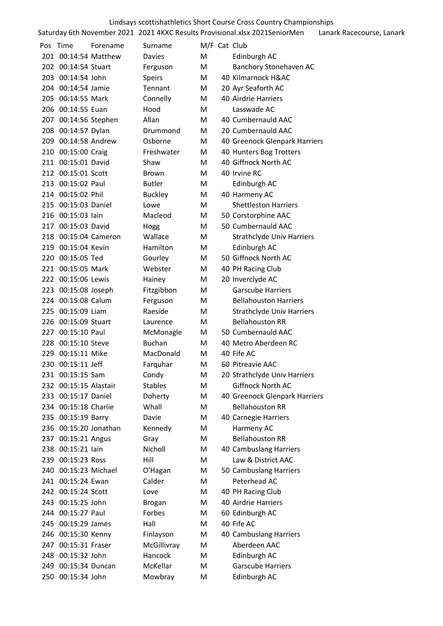| Lindsays scottishathletics Short Course Cross Country Championships |          |                |              |  |                                                                             |                           |  |  |  |
|---------------------------------------------------------------------|----------|----------------|--------------|--|-----------------------------------------------------------------------------|---------------------------|--|--|--|
|                                                                     |          |                |              |  | Saturday 6th November 2021 2021 4KXC Results Provisional.xlsx 2021SeniorMen | Lanark Racecourse, Lanark |  |  |  |
| Pos Time                                                            | Forename | Surname        | M/F Cat Club |  |                                                                             |                           |  |  |  |
| 201 00:14:54 Matthew                                                |          | Davies         | M            |  | Edinburgh AC                                                                |                           |  |  |  |
| 202 00:14:54 Stuart                                                 |          | Ferguson       | M            |  | Banchory Stonehaven AC                                                      |                           |  |  |  |
| 203 00:14:54 John                                                   |          | Speirs         | M            |  | 40 Kilmarnock H&AC                                                          |                           |  |  |  |
| 204 00:14:54 Jamie                                                  |          | Tennant        | M            |  | 20 Ayr Seaforth AC                                                          |                           |  |  |  |
| 205 00:14:55 Mark                                                   |          | Connelly       | M            |  | 40 Airdrie Harriers                                                         |                           |  |  |  |
| 206 00:14:55 Euan                                                   |          | Hood           | M            |  | Lasswade AC                                                                 |                           |  |  |  |
| 207 00:14:56 Stephen                                                |          | Allan          | M            |  | 40 Cumbernauld AAC                                                          |                           |  |  |  |
| 208 00:14:57 Dylan                                                  |          | Drummond       | M            |  | 20 Cumbernauld AAC                                                          |                           |  |  |  |
| 209 00:14:58 Andrew                                                 |          | Osborne        | M            |  | 40 Greenock Glenpark Harriers                                               |                           |  |  |  |
| 210 00:15:00 Craig                                                  |          | Freshwater     | M            |  | 40 Hunters Bog Trotters                                                     |                           |  |  |  |
| 211 00:15:01 David                                                  |          | Shaw           | M            |  | 40 Giffnock North AC                                                        |                           |  |  |  |
| 212 00:15:01 Scott                                                  |          | Brown          | M            |  | 40 Irvine RC                                                                |                           |  |  |  |
| 213 00:15:02 Paul                                                   |          | <b>Butler</b>  | M            |  | Edinburgh AC                                                                |                           |  |  |  |
| 214 00:15:02 Phil                                                   |          | <b>Buckley</b> | M            |  | 40 Harmeny AC                                                               |                           |  |  |  |
| 215 00:15:03 Daniel                                                 |          | Lowe           | M            |  | <b>Shettleston Harriers</b>                                                 |                           |  |  |  |
| 216 00:15:03 lain                                                   |          | Macleod        | M            |  | 50 Corstorphine AAC                                                         |                           |  |  |  |
| 217 00:15:03 David                                                  |          | Hogg           | M            |  | 50 Cumbernauld AAC                                                          |                           |  |  |  |
| 218 00:15:04 Cameron                                                |          | Wallace        | M            |  | <b>Strathclyde Univ Harriers</b>                                            |                           |  |  |  |
| 219 00:15:04 Kevin                                                  |          | Hamilton       | M            |  | Edinburgh AC                                                                |                           |  |  |  |
| 220 00:15:05 Ted                                                    |          | Gourley        | M            |  | 50 Giffnock North AC                                                        |                           |  |  |  |
| 221 00:15:05 Mark                                                   |          | Webster        | M            |  | 40 PH Racing Club                                                           |                           |  |  |  |
| 222 00:15:06 Lewis                                                  |          | Hainey         | M            |  | 20 Inverclyde AC                                                            |                           |  |  |  |
| 223 00:15:08 Joseph                                                 |          | Fitzgibbon     | M            |  | <b>Garscube Harriers</b>                                                    |                           |  |  |  |
| 224 00:15:08 Calum                                                  |          | Ferguson       | M            |  | <b>Bellahouston Harriers</b>                                                |                           |  |  |  |
| 225 00:15:09 Liam                                                   |          | Raeside        | M            |  | <b>Strathclyde Univ Harriers</b>                                            |                           |  |  |  |
| 226 00:15:09 Stuart                                                 |          | Laurence       | M            |  | <b>Bellahouston RR</b>                                                      |                           |  |  |  |
| 227 00:15:10 Paul                                                   |          | McMonagle      | M            |  | 50 Cumbernauld AAC                                                          |                           |  |  |  |
| 228 00:15:10 Steve                                                  |          | <b>Buchan</b>  | M            |  | 40 Metro Aberdeen RC                                                        |                           |  |  |  |
| 229 00:15:11 Mike                                                   |          | MacDonald      | M            |  | 40 Fife AC                                                                  |                           |  |  |  |
| 230 00:15:11 Jeff                                                   |          | Farguhar       | M            |  | 60 Pitreavie AAC                                                            |                           |  |  |  |
| 231 00:15:15 Sam                                                    |          | Condy          | M            |  | 20 Strathclyde Univ Harriers                                                |                           |  |  |  |
| 232 00:15:15 Alastair                                               |          | <b>Stables</b> | M            |  | Giffnock North AC                                                           |                           |  |  |  |
| 233 00:15:17 Daniel                                                 |          | Doherty        | M            |  | 40 Greenock Glenpark Harriers                                               |                           |  |  |  |
| 234 00:15:18 Charlie                                                |          | Whall          | M            |  | <b>Bellahouston RR</b>                                                      |                           |  |  |  |
| 235 00:15:19 Barry                                                  |          | Davie          | M            |  | 40 Carnegie Harriers                                                        |                           |  |  |  |
| 236 00:15:20 Jonathan                                               |          | Kennedy        | M            |  | Harmeny AC                                                                  |                           |  |  |  |
| 237 00:15:21 Angus                                                  |          | Gray           | M            |  | <b>Bellahouston RR</b>                                                      |                           |  |  |  |
| 238 00:15:21 lain                                                   |          | Nicholl        | M            |  | 40 Cambuslang Harriers                                                      |                           |  |  |  |
| 239 00:15:23 Ross                                                   |          | Hill           | M            |  | Law & District AAC                                                          |                           |  |  |  |
| 240 00:15:23 Michael                                                |          | O'Hagan        | M            |  | 50 Cambuslang Harriers                                                      |                           |  |  |  |
| 241 00:15:24 Ewan                                                   |          | Calder         | M            |  | Peterhead AC                                                                |                           |  |  |  |
| 242 00:15:24 Scott                                                  |          | Love           | M            |  | 40 PH Racing Club                                                           |                           |  |  |  |
| 243 00:15:25 John                                                   |          | <b>Brogan</b>  | M            |  | 40 Airdrie Harriers                                                         |                           |  |  |  |
| 244 00:15:27 Paul                                                   |          | Forbes         | M            |  | 60 Edinburgh AC                                                             |                           |  |  |  |
| 245 00:15:29 James                                                  |          | Hall           | M            |  | 40 Fife AC                                                                  |                           |  |  |  |
| 246 00:15:30 Kenny                                                  |          | Finlayson      | M            |  | 40 Cambuslang Harriers                                                      |                           |  |  |  |
| 247 00:15:31 Fraser                                                 |          | McGillivray    | M            |  | Aberdeen AAC                                                                |                           |  |  |  |
| 248 00:15:32 John                                                   |          | Hancock        | M            |  | Edinburgh AC                                                                |                           |  |  |  |
| 249 00:15:34 Duncan                                                 |          | McKellar       | M            |  | <b>Garscube Harriers</b>                                                    |                           |  |  |  |
| 250 00:15:34 John                                                   |          | Mowbray        | M            |  | Edinburgh AC                                                                |                           |  |  |  |
|                                                                     |          |                |              |  |                                                                             |                           |  |  |  |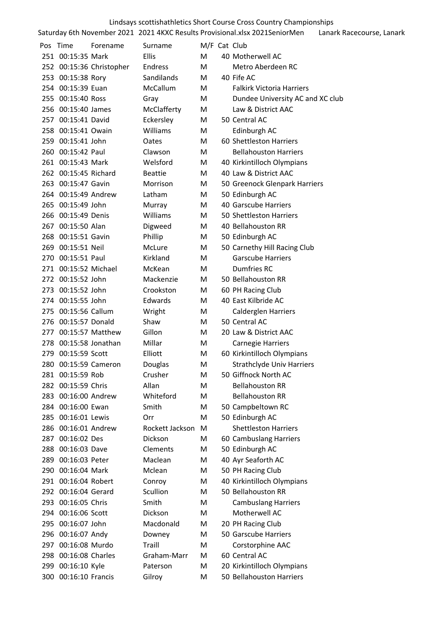|       | Pos Time             | Forename                 | Surname         |   | M/F Cat Club                     |
|-------|----------------------|--------------------------|-----------------|---|----------------------------------|
|       | 251 00:15:35 Mark    |                          | <b>Ellis</b>    | м | 40 Motherwell AC                 |
|       |                      | 252 00:15:36 Christopher | Endress         | м | Metro Aberdeen RC                |
|       | 253 00:15:38 Rory    |                          | Sandilands      | м | 40 Fife AC                       |
|       | 254 00:15:39 Euan    |                          | <b>McCallum</b> | м | <b>Falkirk Victoria Harriers</b> |
|       | 255 00:15:40 Ross    |                          | Gray            | M | Dundee University AC and XC club |
|       | 256 00:15:40 James   |                          | McClafferty     | M | Law & District AAC               |
| 257   | 00:15:41 David       |                          | Eckersley       | м | 50 Central AC                    |
|       | 258 00:15:41 Owain   |                          | Williams        | M | Edinburgh AC                     |
|       | 259 00:15:41 John    |                          | Oates           | м | 60 Shettleston Harriers          |
|       | 260 00:15:42 Paul    |                          | Clawson         | м | <b>Bellahouston Harriers</b>     |
|       | 261 00:15:43 Mark    |                          | Welsford        | Μ | 40 Kirkintilloch Olympians       |
|       | 262 00:15:45 Richard |                          | <b>Beattie</b>  | м | 40 Law & District AAC            |
| 263   | 00:15:47 Gavin       |                          | Morrison        | Μ | 50 Greenock Glenpark Harriers    |
|       | 264 00:15:49 Andrew  |                          | Latham          | м | 50 Edinburgh AC                  |
|       | 265 00:15:49 John    |                          | Murray          | м | 40 Garscube Harriers             |
|       | 266 00:15:49 Denis   |                          | Williams        | М | 50 Shettleston Harriers          |
| 267   | 00:15:50 Alan        |                          | Digweed         | Μ | 40 Bellahouston RR               |
|       | 268 00:15:51 Gavin   |                          | Phillip         | Μ | 50 Edinburgh AC                  |
|       | 269 00:15:51 Neil    |                          | McLure          | м | 50 Carnethy Hill Racing Club     |
|       | 270 00:15:51 Paul    |                          | Kirkland        | м | <b>Garscube Harriers</b>         |
| 271   | 00:15:52 Michael     |                          | McKean          | M | <b>Dumfries RC</b>               |
|       | 272 00:15:52 John    |                          | Mackenzie       | M | 50 Bellahouston RR               |
| 273   | 00:15:52 John        |                          | Crookston       | м | 60 PH Racing Club                |
|       | 274 00:15:55 John    |                          | Edwards         | M | 40 East Kilbride AC              |
| 275 - | 00:15:56 Callum      |                          | Wright          | м | <b>Calderglen Harriers</b>       |
| 276   | 00:15:57 Donald      |                          | Shaw            | м | 50 Central AC                    |
| 277.  |                      | 00:15:57 Matthew         | Gillon          | м | 20 Law & District AAC            |
| 278   |                      | 00:15:58 Jonathan        | Millar          | M | <b>Carnegie Harriers</b>         |
| 279 - | 00:15:59 Scott       |                          | Elliott         | M | 60 Kirkintilloch Olympians       |
|       | 280 00:15:59 Cameron |                          | Douglas         | M | <b>Strathclyde Univ Harriers</b> |
|       | 281 00:15:59 Rob     |                          | Crusher         | M | 50 Giffnock North AC             |
|       | 282 00:15:59 Chris   |                          | Allan           | M | <b>Bellahouston RR</b>           |
| 283   | 00:16:00 Andrew      |                          | Whiteford       | м | <b>Bellahouston RR</b>           |
| 284   | 00:16:00 Ewan        |                          | Smith           | Μ | 50 Campbeltown RC                |
| 285   | 00:16:01 Lewis       |                          | Orr             | M | 50 Edinburgh AC                  |
| 286   | 00:16:01 Andrew      |                          | Rockett Jackson | M | <b>Shettleston Harriers</b>      |
| 287   | 00:16:02 Des         |                          | Dickson         | M | 60 Cambuslang Harriers           |
| 288   | 00:16:03 Dave        |                          | Clements        | м | 50 Edinburgh AC                  |
| 289   | 00:16:03 Peter       |                          | Maclean         | м | 40 Ayr Seaforth AC               |
|       | 290 00:16:04 Mark    |                          | Mclean          | Μ | 50 PH Racing Club                |
| 291   | 00:16:04 Robert      |                          | Conroy          | Μ | 40 Kirkintilloch Olympians       |
| 292   | 00:16:04 Gerard      |                          | Scullion        | м | 50 Bellahouston RR               |
| 293 - | 00:16:05 Chris       |                          | Smith           | м | <b>Cambuslang Harriers</b>       |
|       | 294 00:16:06 Scott   |                          | Dickson         | м | Motherwell AC                    |
| 295   | 00:16:07 John        |                          | Macdonald       | Μ | 20 PH Racing Club                |
| 296   | 00:16:07 Andy        |                          | Downey          | м | 50 Garscube Harriers             |
| 297   | 00:16:08 Murdo       |                          | Traill          | M | Corstorphine AAC                 |
| 298   | 00:16:08 Charles     |                          | Graham-Marr     | М | 60 Central AC                    |
| 299   | 00:16:10 Kyle        |                          | Paterson        | Μ | 20 Kirkintilloch Olympians       |
| 300   | 00:16:10 Francis     |                          | Gilroy          | Μ | 50 Bellahouston Harriers         |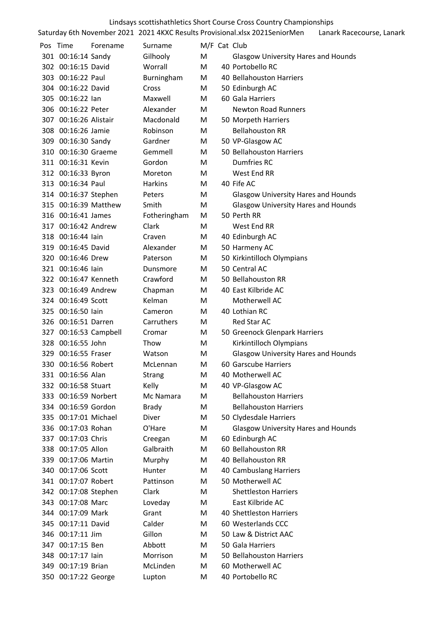| Lindsays scottishathletics Short Course Cross Country Championships |                       |                       |                       |        |  |                                                                             |                           |  |
|---------------------------------------------------------------------|-----------------------|-----------------------|-----------------------|--------|--|-----------------------------------------------------------------------------|---------------------------|--|
|                                                                     |                       |                       |                       |        |  | Saturday 6th November 2021 2021 4KXC Results Provisional.xlsx 2021SeniorMen | Lanark Racecourse, Lanark |  |
|                                                                     | Pos Time              | Forename              | Surname               |        |  | M/F Cat Club                                                                |                           |  |
|                                                                     | 301 00:16:14 Sandy    |                       | Gilhooly              | M      |  | <b>Glasgow University Hares and Hounds</b>                                  |                           |  |
|                                                                     | 302 00:16:15 David    |                       | Worrall               | М      |  | 40 Portobello RC                                                            |                           |  |
|                                                                     | 303 00:16:22 Paul     |                       | Burningham            | М      |  | 40 Bellahouston Harriers                                                    |                           |  |
|                                                                     | 304 00:16:22 David    |                       | Cross                 | М      |  | 50 Edinburgh AC                                                             |                           |  |
|                                                                     | 305 00:16:22 lan      |                       | Maxwell               | M      |  | 60 Gala Harriers                                                            |                           |  |
|                                                                     | 306 00:16:22 Peter    |                       | Alexander             | M      |  | <b>Newton Road Runners</b>                                                  |                           |  |
|                                                                     | 307 00:16:26 Alistair |                       | Macdonald             | М      |  | 50 Morpeth Harriers                                                         |                           |  |
|                                                                     | 308 00:16:26 Jamie    |                       | Robinson              | M      |  | <b>Bellahouston RR</b>                                                      |                           |  |
|                                                                     | 309 00:16:30 Sandy    |                       | Gardner               | M      |  | 50 VP-Glasgow AC                                                            |                           |  |
|                                                                     | 310 00:16:30 Graeme   |                       | Gemmell               | М      |  | 50 Bellahouston Harriers                                                    |                           |  |
|                                                                     | 311 00:16:31 Kevin    |                       | Gordon                | M      |  | Dumfries RC                                                                 |                           |  |
|                                                                     | 312 00:16:33 Byron    |                       | Moreton               | М      |  | West End RR                                                                 |                           |  |
|                                                                     | 313 00:16:34 Paul     |                       | <b>Harkins</b>        | М      |  | 40 Fife AC                                                                  |                           |  |
|                                                                     | 314 00:16:37 Stephen  |                       | Peters                | м      |  | <b>Glasgow University Hares and Hounds</b>                                  |                           |  |
|                                                                     | 315 00:16:39 Matthew  |                       | Smith                 | M      |  | <b>Glasgow University Hares and Hounds</b>                                  |                           |  |
|                                                                     | 316 00:16:41 James    |                       | Fotheringham          | M      |  | 50 Perth RR                                                                 |                           |  |
|                                                                     | 317 00:16:42 Andrew   |                       | Clark                 | м      |  | West End RR                                                                 |                           |  |
|                                                                     | 318 00:16:44 lain     |                       | Craven                | M      |  | 40 Edinburgh AC                                                             |                           |  |
|                                                                     | 319 00:16:45 David    |                       | Alexander             | M      |  | 50 Harmeny AC                                                               |                           |  |
|                                                                     | 320 00:16:46 Drew     |                       | Paterson              | M      |  | 50 Kirkintilloch Olympians                                                  |                           |  |
|                                                                     | 321 00:16:46 lain     |                       | Dunsmore              | М      |  | 50 Central AC                                                               |                           |  |
|                                                                     | 322 00:16:47 Kenneth  |                       | Crawford              | М      |  | 50 Bellahouston RR                                                          |                           |  |
|                                                                     | 323 00:16:49 Andrew   |                       | Chapman               | М      |  | 40 East Kilbride AC                                                         |                           |  |
|                                                                     | 324 00:16:49 Scott    |                       | Kelman                | М      |  | Motherwell AC                                                               |                           |  |
|                                                                     | 325 00:16:50 lain     |                       | Cameron               | М      |  | 40 Lothian RC                                                               |                           |  |
|                                                                     | 326 00:16:51 Darren   |                       | Carruthers            | М      |  | <b>Red Star AC</b>                                                          |                           |  |
|                                                                     |                       | 327 00:16:53 Campbell | Cromar                | М      |  | 50 Greenock Glenpark Harriers                                               |                           |  |
|                                                                     | 328 00:16:55 John     |                       | Thow                  | м      |  | Kirkintilloch Olympians                                                     |                           |  |
|                                                                     | 329 00:16:55 Fraser   |                       | Watson                | М      |  | <b>Glasgow University Hares and Hounds</b>                                  |                           |  |
|                                                                     | 330 00:16:56 Robert   |                       | McLennan              | М      |  | 60 Garscube Harriers                                                        |                           |  |
|                                                                     | 331 00:16:56 Alan     |                       |                       | М      |  | 40 Motherwell AC                                                            |                           |  |
|                                                                     | 332 00:16:58 Stuart   |                       | Strang                | M      |  | 40 VP-Glasgow AC                                                            |                           |  |
|                                                                     | 333 00:16:59 Norbert  |                       | Kelly<br>Mc Namara    |        |  | <b>Bellahouston Harriers</b>                                                |                           |  |
|                                                                     | 334 00:16:59 Gordon   |                       |                       | Μ      |  | <b>Bellahouston Harriers</b>                                                |                           |  |
|                                                                     | 335 00:17:01 Michael  |                       | <b>Brady</b><br>Diver | M<br>М |  |                                                                             |                           |  |
|                                                                     |                       |                       |                       |        |  | 50 Clydesdale Harriers                                                      |                           |  |
|                                                                     | 336 00:17:03 Rohan    |                       | O'Hare                | М      |  | <b>Glasgow University Hares and Hounds</b>                                  |                           |  |
|                                                                     | 337 00:17:03 Chris    |                       | Creegan               | M      |  | 60 Edinburgh AC                                                             |                           |  |
|                                                                     | 338 00:17:05 Allon    |                       | Galbraith             | м      |  | 60 Bellahouston RR                                                          |                           |  |
|                                                                     | 339 00:17:06 Martin   |                       | Murphy                | M      |  | 40 Bellahouston RR                                                          |                           |  |
|                                                                     | 340 00:17:06 Scott    |                       | Hunter                | М      |  | 40 Cambuslang Harriers                                                      |                           |  |
|                                                                     | 341 00:17:07 Robert   |                       | Pattinson             | М      |  | 50 Motherwell AC                                                            |                           |  |
|                                                                     | 342 00:17:08 Stephen  |                       | Clark                 | М      |  | <b>Shettleston Harriers</b>                                                 |                           |  |
|                                                                     | 343 00:17:08 Marc     |                       | Loveday               | M      |  | East Kilbride AC                                                            |                           |  |
|                                                                     | 344 00:17:09 Mark     |                       | Grant                 | М      |  | 40 Shettleston Harriers                                                     |                           |  |
|                                                                     | 345 00:17:11 David    |                       | Calder                | М      |  | 60 Westerlands CCC                                                          |                           |  |
|                                                                     | 346 00:17:11 Jim      |                       | Gillon                | М      |  | 50 Law & District AAC                                                       |                           |  |
|                                                                     | 347 00:17:15 Ben      |                       | Abbott                | М      |  | 50 Gala Harriers                                                            |                           |  |
|                                                                     | 348 00:17:17 lain     |                       | Morrison              | М      |  | 50 Bellahouston Harriers                                                    |                           |  |
|                                                                     | 349 00:17:19 Brian    |                       | McLinden              | M      |  | 60 Motherwell AC                                                            |                           |  |
|                                                                     | 350 00:17:22 George   |                       | Lupton                | M      |  | 40 Portobello RC                                                            |                           |  |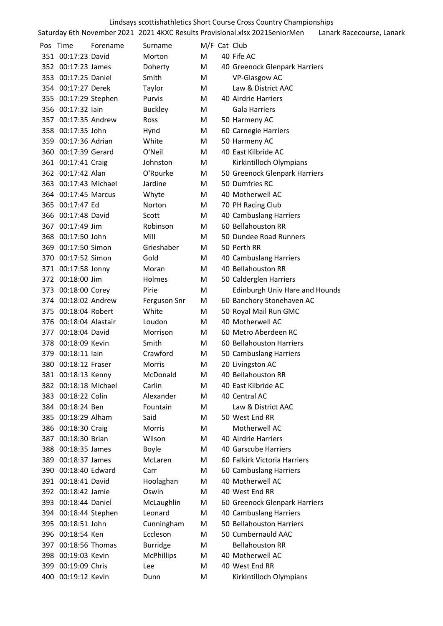|     | Lindsays scottishathletics Short Course Cross Country Championships |          |                   |              |  |                                                                             |                           |  |  |
|-----|---------------------------------------------------------------------|----------|-------------------|--------------|--|-----------------------------------------------------------------------------|---------------------------|--|--|
|     |                                                                     |          |                   |              |  | Saturday 6th November 2021 2021 4KXC Results Provisional.xlsx 2021SeniorMen | Lanark Racecourse, Lanark |  |  |
|     | Pos Time                                                            | Forename | Surname           | M/F Cat Club |  |                                                                             |                           |  |  |
|     | 351 00:17:23 David                                                  |          | Morton            | М            |  | 40 Fife AC                                                                  |                           |  |  |
|     | 352 00:17:23 James                                                  |          | Doherty           | М            |  | 40 Greenock Glenpark Harriers                                               |                           |  |  |
|     | 353 00:17:25 Daniel                                                 |          | Smith             | M            |  | VP-Glasgow AC                                                               |                           |  |  |
|     | 354 00:17:27 Derek                                                  |          | Taylor            | M            |  | Law & District AAC                                                          |                           |  |  |
|     | 355 00:17:29 Stephen                                                |          | Purvis            | M            |  | 40 Airdrie Harriers                                                         |                           |  |  |
|     | 356 00:17:32 lain                                                   |          | <b>Buckley</b>    | М            |  | <b>Gala Harriers</b>                                                        |                           |  |  |
|     | 357 00:17:35 Andrew                                                 |          | <b>Ross</b>       | М            |  | 50 Harmeny AC                                                               |                           |  |  |
|     | 358 00:17:35 John                                                   |          | Hynd              | M            |  | 60 Carnegie Harriers                                                        |                           |  |  |
|     | 359 00:17:36 Adrian                                                 |          | White             | M            |  | 50 Harmeny AC                                                               |                           |  |  |
|     | 360 00:17:39 Gerard                                                 |          | O'Neil            | М            |  | 40 East Kilbride AC                                                         |                           |  |  |
|     | 361 00:17:41 Craig                                                  |          | Johnston          | M            |  | Kirkintilloch Olympians                                                     |                           |  |  |
|     | 362 00:17:42 Alan                                                   |          | O'Rourke          | М            |  | 50 Greenock Glenpark Harriers                                               |                           |  |  |
|     | 363 00:17:43 Michael                                                |          | Jardine           | М            |  | 50 Dumfries RC                                                              |                           |  |  |
|     | 364 00:17:45 Marcus                                                 |          | Whyte             | M            |  | 40 Motherwell AC                                                            |                           |  |  |
|     | 365 00:17:47 Ed                                                     |          | Norton            | M            |  | 70 PH Racing Club                                                           |                           |  |  |
|     | 366 00:17:48 David                                                  |          | Scott             | M            |  | 40 Cambuslang Harriers                                                      |                           |  |  |
|     | 367 00:17:49 Jim                                                    |          | Robinson          | М            |  | 60 Bellahouston RR                                                          |                           |  |  |
|     | 368 00:17:50 John                                                   |          | Mill              | М            |  | 50 Dundee Road Runners                                                      |                           |  |  |
|     | 369 00:17:50 Simon                                                  |          |                   | М            |  |                                                                             |                           |  |  |
|     | 370 00:17:52 Simon                                                  |          | Grieshaber        |              |  | 50 Perth RR                                                                 |                           |  |  |
|     |                                                                     |          | Gold              | M            |  | 40 Cambuslang Harriers                                                      |                           |  |  |
|     | 371 00:17:58 Jonny                                                  |          | Moran             | M            |  | 40 Bellahouston RR                                                          |                           |  |  |
|     | 372 00:18:00 Jim                                                    |          | Holmes            | М            |  | 50 Calderglen Harriers                                                      |                           |  |  |
|     | 373 00:18:00 Corey                                                  |          | Pirie             | M            |  | Edinburgh Univ Hare and Hounds                                              |                           |  |  |
|     | 374 00:18:02 Andrew                                                 |          | Ferguson Snr      | M            |  | 60 Banchory Stonehaven AC                                                   |                           |  |  |
|     | 375 00:18:04 Robert                                                 |          | White             | M            |  | 50 Royal Mail Run GMC                                                       |                           |  |  |
|     | 376 00:18:04 Alastair                                               |          | Loudon            | М            |  | 40 Motherwell AC                                                            |                           |  |  |
|     | 377 00:18:04 David                                                  |          | Morrison          | M            |  | 60 Metro Aberdeen RC                                                        |                           |  |  |
|     | 378 00:18:09 Kevin                                                  |          | Smith             | M            |  | 60 Bellahouston Harriers                                                    |                           |  |  |
| 379 | 00:18:11 lain                                                       |          | Crawford          | Μ            |  | 50 Cambuslang Harriers                                                      |                           |  |  |
|     | 380 00:18:12 Fraser                                                 |          | <b>Morris</b>     | M            |  | 20 Livingston AC                                                            |                           |  |  |
|     | 381 00:18:13 Kenny                                                  |          | McDonald          | м            |  | 40 Bellahouston RR                                                          |                           |  |  |
|     | 382 00:18:18 Michael                                                |          | Carlin            | м            |  | 40 East Kilbride AC                                                         |                           |  |  |
|     | 383 00:18:22 Colin                                                  |          | Alexander         | м            |  | 40 Central AC                                                               |                           |  |  |
|     | 384 00:18:24 Ben                                                    |          | Fountain          | Μ            |  | Law & District AAC                                                          |                           |  |  |
|     | 385 00:18:29 Alham                                                  |          | Said              | Μ            |  | 50 West End RR                                                              |                           |  |  |
|     | 386 00:18:30 Craig                                                  |          | Morris            | м            |  | Motherwell AC                                                               |                           |  |  |
|     | 387 00:18:30 Brian                                                  |          | Wilson            | м            |  | 40 Airdrie Harriers                                                         |                           |  |  |
|     | 388 00:18:35 James                                                  |          | Boyle             | М            |  | 40 Garscube Harriers                                                        |                           |  |  |
|     | 389 00:18:37 James                                                  |          | McLaren           | Μ            |  | 60 Falkirk Victoria Harriers                                                |                           |  |  |
|     | 390 00:18:40 Edward                                                 |          | Carr              | M            |  | 60 Cambuslang Harriers                                                      |                           |  |  |
|     | 391 00:18:41 David                                                  |          | Hoolaghan         | М            |  | 40 Motherwell AC                                                            |                           |  |  |
|     | 392 00:18:42 Jamie                                                  |          | Oswin             | м            |  | 40 West End RR                                                              |                           |  |  |
|     | 393 00:18:44 Daniel                                                 |          | McLaughlin        | M            |  | 60 Greenock Glenpark Harriers                                               |                           |  |  |
|     | 394 00:18:44 Stephen                                                |          | Leonard           | Μ            |  | 40 Cambuslang Harriers                                                      |                           |  |  |
|     | 395 00:18:51 John                                                   |          | Cunningham        | M            |  | 50 Bellahouston Harriers                                                    |                           |  |  |
|     | 396 00:18:54 Ken                                                    |          | Eccleson          | м            |  | 50 Cumbernauld AAC                                                          |                           |  |  |
|     | 397 00:18:56 Thomas                                                 |          | <b>Burridge</b>   | Μ            |  | <b>Bellahouston RR</b>                                                      |                           |  |  |
|     | 398 00:19:03 Kevin                                                  |          | <b>McPhillips</b> | Μ            |  | 40 Motherwell AC                                                            |                           |  |  |
|     | 399 00:19:09 Chris                                                  |          | Lee               | M            |  | 40 West End RR                                                              |                           |  |  |
|     | 400 00:19:12 Kevin                                                  |          | Dunn              | M            |  | Kirkintilloch Olympians                                                     |                           |  |  |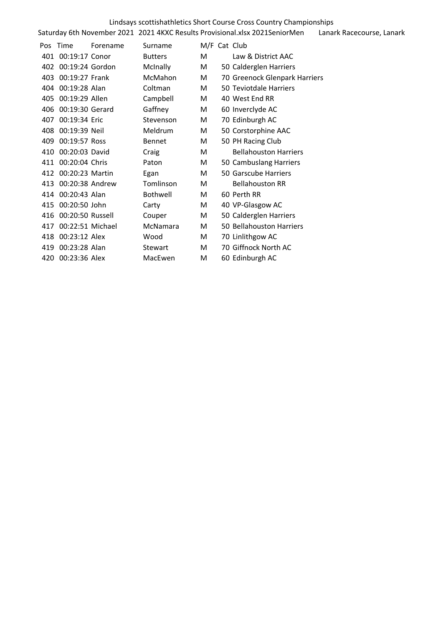|     |                      |          |                 |              | Lindsays scottishathletics Short Course Cross Country Championships         |                           |
|-----|----------------------|----------|-----------------|--------------|-----------------------------------------------------------------------------|---------------------------|
|     |                      |          |                 |              | Saturday 6th November 2021 2021 4KXC Results Provisional.xlsx 2021SeniorMen | Lanark Racecourse, Lanark |
|     | Pos Time             | Forename | Surname         | M/F Cat Club |                                                                             |                           |
|     | 401 00:19:17 Conor   |          | <b>Butters</b>  | M            | Law & District AAC                                                          |                           |
|     | 402 00:19:24 Gordon  |          | <b>McInally</b> | М            | 50 Calderglen Harriers                                                      |                           |
|     | 403 00:19:27 Frank   |          | McMahon         | М            | 70 Greenock Glenpark Harriers                                               |                           |
|     | 404 00:19:28 Alan    |          | Coltman         | М            | 50 Teviotdale Harriers                                                      |                           |
|     | 405 00:19:29 Allen   |          | Campbell        | M            | 40 West End RR                                                              |                           |
|     | 406 00:19:30 Gerard  |          | Gaffney         | М            | 60 Inverclyde AC                                                            |                           |
| 407 | 00:19:34 Eric        |          | Stevenson       | M            | 70 Edinburgh AC                                                             |                           |
|     | 408 00:19:39 Neil    |          | Meldrum         | М            | 50 Corstorphine AAC                                                         |                           |
| 409 | 00:19:57 Ross        |          | <b>Bennet</b>   | М            | 50 PH Racing Club                                                           |                           |
|     | 410 00:20:03 David   |          | Craig           | М            | <b>Bellahouston Harriers</b>                                                |                           |
|     | 411 00:20:04 Chris   |          | Paton           | М            | 50 Cambuslang Harriers                                                      |                           |
|     | 412 00:20:23 Martin  |          | Egan            | М            | 50 Garscube Harriers                                                        |                           |
| 413 | 00:20:38 Andrew      |          | Tomlinson       | М            | <b>Bellahouston RR</b>                                                      |                           |
|     | 414 00:20:43 Alan    |          | Bothwell        | М            | 60 Perth RR                                                                 |                           |
|     | 415 00:20:50 John    |          | Carty           | М            | 40 VP-Glasgow AC                                                            |                           |
|     | 416 00:20:50 Russell |          | Couper          | М            | 50 Calderglen Harriers                                                      |                           |
| 417 | 00:22:51 Michael     |          | McNamara        | М            | 50 Bellahouston Harriers                                                    |                           |
|     | 418 00:23:12 Alex    |          | Wood            | М            | 70 Linlithgow AC                                                            |                           |
| 419 | 00:23:28 Alan        |          | Stewart         | М            | 70 Giffnock North AC                                                        |                           |
| 420 | 00:23:36 Alex        |          | MacEwen         | м            | 60 Edinburgh AC                                                             |                           |
|     |                      |          |                 |              |                                                                             |                           |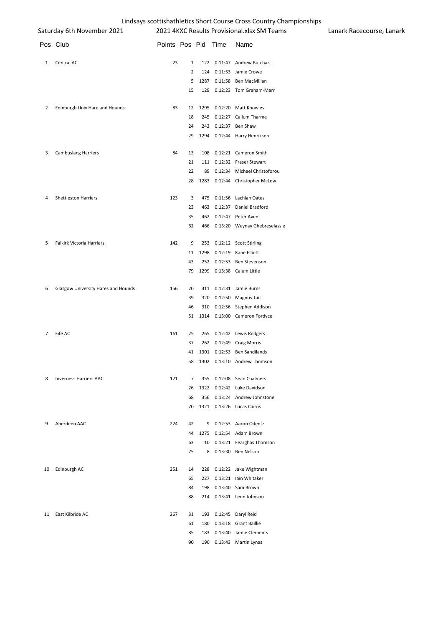| __. <sub>1</sub> ----<br>Saturday 6th November 2021 |                                     |                     |          |            | 2021 4KXC Results Provisional.xlsx SM Teams      | Lanark Racecourse, Lanark |  |
|-----------------------------------------------------|-------------------------------------|---------------------|----------|------------|--------------------------------------------------|---------------------------|--|
|                                                     | Pos Club                            | Points Pos Pid Time |          |            | Name                                             |                           |  |
| 1                                                   | Central AC                          | 23                  | 1        | 122        | 0:11:47 Andrew Butchart                          |                           |  |
|                                                     |                                     |                     | 2        | 124        | 0:11:53 Jamie Crowe                              |                           |  |
|                                                     |                                     |                     | 5        | 1287       | 0:11:58 Ben MacMillan                            |                           |  |
|                                                     |                                     |                     | 15       | 129        | 0:12:23 Tom Graham-Marr                          |                           |  |
| 2                                                   | Edinburgh Univ Hare and Hounds      | 83                  | 12       | 1295       | 0:12:20 Matt Knowles                             |                           |  |
|                                                     |                                     |                     | 18       | 245        | 0:12:27 Callum Tharme                            |                           |  |
|                                                     |                                     |                     | 24       | 242        | 0:12:37 Ben Shaw                                 |                           |  |
|                                                     |                                     |                     | 29       | 1294       | 0:12:44 Harry Henriksen                          |                           |  |
| 3                                                   | <b>Cambuslang Harriers</b>          | 84                  | 13       | 108        | 0:12:21 Cameron Smith                            |                           |  |
|                                                     |                                     |                     | 21       |            | 111 0:12:32 Fraser Stewart                       |                           |  |
|                                                     |                                     |                     | 22       | 89         | 0:12:34 Michael Christoforou                     |                           |  |
|                                                     |                                     |                     | 28       | 1283       | 0:12:44 Christopher McLew                        |                           |  |
| 4                                                   | <b>Shettleston Harriers</b>         | 123                 | 3        | 475        | 0:11:56 Lachlan Oates                            |                           |  |
|                                                     |                                     |                     | 23       | 463        | 0:12:37 Daniel Bradford                          |                           |  |
|                                                     |                                     |                     | 35       | 462        | 0:12:47 Peter Avent                              |                           |  |
|                                                     |                                     |                     | 62       | 466        | 0:13:20 Weynay Ghebreselassie                    |                           |  |
| 5                                                   | <b>Falkirk Victoria Harriers</b>    | 142                 | 9        |            | 253 0:12:12 Scott Stirling                       |                           |  |
|                                                     |                                     |                     | 11       | 1298       | 0:12:19 Kane Elliott                             |                           |  |
|                                                     |                                     |                     | 43       | 252        | 0:12:53 Ben Stevenson                            |                           |  |
|                                                     |                                     |                     | 79       |            | 1299 0:13:38 Calum Little                        |                           |  |
| 6                                                   | Glasgow University Hares and Hounds | 156                 | 20       |            | 311 0:12:31 Jamie Burns                          |                           |  |
|                                                     |                                     |                     | 39       | 320        | 0:12:50 Magnus Tait                              |                           |  |
|                                                     |                                     |                     | 46       | 310        | 0:12:56 Stephen Addison                          |                           |  |
|                                                     |                                     |                     | 51       | 1314       | 0:13:00 Cameron Fordyce                          |                           |  |
| 7                                                   | Fife AC                             | 161                 | 25       |            | 265 0:12:42 Lewis Rodgers                        |                           |  |
|                                                     |                                     |                     | 37       | 262        | 0:12:49 Craig Morris                             |                           |  |
|                                                     |                                     |                     | 41       |            | 1301 0:12:53 Ben Sandilands                      |                           |  |
|                                                     |                                     |                     |          |            | 58 1302 0:13:10 Andrew Thomson                   |                           |  |
| 8                                                   | <b>Inverness Harriers AAC</b>       | 171                 | 7        |            | 355 0:12:08 Sean Chalmers                        |                           |  |
|                                                     |                                     |                     | 26       |            | 1322 0:12:42 Luke Davidson                       |                           |  |
|                                                     |                                     |                     | 68       | 356        | 0:13:24 Andrew Johnstone                         |                           |  |
|                                                     |                                     |                     |          |            | 70 1321 0:13:26 Lucas Cairns                     |                           |  |
| 9                                                   | Aberdeen AAC                        | 224                 | 42       |            | 9 0:12:53 Aaron Odentz                           |                           |  |
|                                                     |                                     |                     | 44       |            | 1275 0:12:54 Adam Brown                          |                           |  |
|                                                     |                                     |                     | 63<br>75 | 10         | 0:13:21 Fearghas Thomson<br>8 0:13:30 Ben Nelson |                           |  |
|                                                     |                                     |                     |          |            |                                                  |                           |  |
| 10                                                  | Edinburgh AC                        | 251                 | 14<br>65 | 228<br>227 | 0:12:22 Jake Wightman<br>0:13:21 Iain Whitaker   |                           |  |
|                                                     |                                     |                     | 84       | 198        | 0:13:40 Sam Brown                                |                           |  |
|                                                     |                                     |                     | 88       |            | 214 0:13:41 Leon Johnson                         |                           |  |
| 11                                                  | East Kilbride AC                    | 267                 | 31       |            |                                                  |                           |  |
|                                                     |                                     |                     | 61       | 180        | 193 0:12:45 Daryl Reid<br>0:13:18 Grant Baillie  |                           |  |
|                                                     |                                     |                     | 85       | 183        | 0:13:40 Jamie Clements                           |                           |  |
|                                                     |                                     |                     | 90       |            | 190 0:13:43 Martin Lynas                         |                           |  |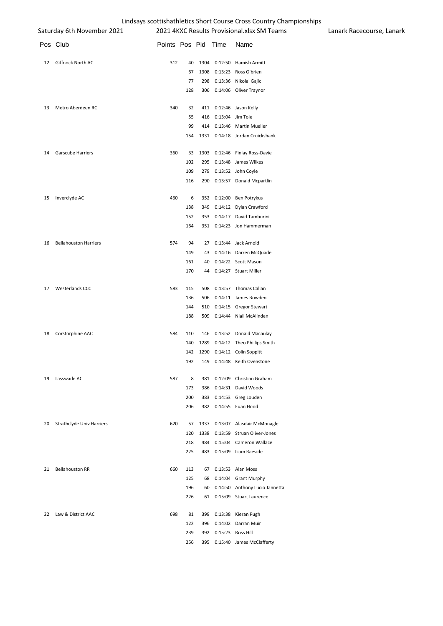|    | Saturday 6th November 2021   |                     |     |      |                       | Ennabayo Septembria erretico oribite codroci erebo codritery errampionompo<br>2021 4KXC Results Provisional.xlsx SM Teams | Lanark Ra |
|----|------------------------------|---------------------|-----|------|-----------------------|---------------------------------------------------------------------------------------------------------------------------|-----------|
|    | Pos Club                     | Points Pos Pid Time |     |      |                       | Name                                                                                                                      |           |
| 12 | Giffnock North AC            | 312                 | 40  | 1304 |                       | 0:12:50 Hamish Armitt                                                                                                     |           |
|    |                              |                     | 67  | 1308 |                       | 0:13:23 Ross O'brien                                                                                                      |           |
|    |                              |                     | 77  | 298  |                       | 0:13:36 Nikolai Gajic                                                                                                     |           |
|    |                              |                     | 128 | 306  |                       | 0:14:06 Oliver Traynor                                                                                                    |           |
| 13 | Metro Aberdeen RC            | 340                 | 32  |      |                       | 411 0:12:46 Jason Kelly                                                                                                   |           |
|    |                              |                     | 55  |      | 416 0:13:04 Jim Tole  |                                                                                                                           |           |
|    |                              |                     | 99  |      |                       | 414 0:13:46 Martin Mueller                                                                                                |           |
|    |                              |                     | 154 |      |                       | 1331 0:14:18 Jordan Cruickshank                                                                                           |           |
| 14 | Garscube Harriers            | 360                 | 33  |      |                       | 1303 0:12:46 Finlay Ross-Davie                                                                                            |           |
|    |                              |                     | 102 |      |                       | 295 0:13:48 James Wilkes                                                                                                  |           |
|    |                              |                     | 109 | 279  |                       | 0:13:52 John Coyle                                                                                                        |           |
|    |                              |                     | 116 |      |                       | 290 0:13:57 Donald Mcpartlin                                                                                              |           |
| 15 | Inverclyde AC                | 460                 | 6   |      |                       | 352 0:12:00 Ben Potrykus                                                                                                  |           |
|    |                              |                     | 138 | 349  |                       | 0:14:12 Dylan Crawford                                                                                                    |           |
|    |                              |                     | 152 | 353  |                       | 0:14:17 David Tamburini                                                                                                   |           |
|    |                              |                     | 164 |      |                       | 351 0:14:23 Jon Hammerman                                                                                                 |           |
| 16 | <b>Bellahouston Harriers</b> | 574                 | 94  |      |                       | 27 0:13:44 Jack Arnold                                                                                                    |           |
|    |                              |                     | 149 | 43   |                       | 0:14:16 Darren McQuade                                                                                                    |           |
|    |                              |                     | 161 | 40   |                       | 0:14:22 Scott Mason                                                                                                       |           |
|    |                              |                     | 170 |      |                       | 44 0:14:27 Stuart Miller                                                                                                  |           |
| 17 | Westerlands CCC              | 583                 | 115 |      |                       | 508 0:13:57 Thomas Callan                                                                                                 |           |
|    |                              |                     | 136 | 506  |                       | 0:14:11 James Bowden                                                                                                      |           |
|    |                              |                     | 144 | 510  |                       | 0:14:15 Gregor Stewart                                                                                                    |           |
|    |                              |                     | 188 | 509  |                       | 0:14:44 Niall McAlinden                                                                                                   |           |
| 18 | Corstorphine AAC             | 584                 | 110 |      |                       | 146 0:13:52 Donald Macaulay                                                                                               |           |
|    |                              |                     | 140 | 1289 |                       | 0:14:12 Theo Phillips Smith                                                                                               |           |
|    |                              |                     | 142 |      |                       | 1290 0:14:12 Colin Soppitt                                                                                                |           |
|    |                              |                     | 192 | 149  |                       | 0:14:48 Keith Ovenstone                                                                                                   |           |
| 19 | Lasswade AC                  | 587                 | 8   |      |                       | 381 0:12:09 Christian Graham                                                                                              |           |
|    |                              |                     | 173 | 386  |                       | 0:14:31 David Woods                                                                                                       |           |
|    |                              |                     | 200 | 383  |                       | 0:14:53 Greg Louden                                                                                                       |           |
|    |                              |                     | 206 |      |                       | 382 0:14:55 Euan Hood                                                                                                     |           |
| 20 | Strathclyde Univ Harriers    | 620                 | 57  | 1337 |                       | 0:13:07 Alasdair McMonagle                                                                                                |           |
|    |                              |                     | 120 | 1338 |                       | 0:13:59 Struan Oliver-Jones                                                                                               |           |
|    |                              |                     | 218 | 484  |                       | 0:15:04 Cameron Wallace                                                                                                   |           |
|    |                              |                     | 225 |      |                       | 483 0:15:09 Liam Raeside                                                                                                  |           |
| 21 | <b>Bellahouston RR</b>       | 660                 | 113 | 67   |                       | 0:13:53 Alan Moss                                                                                                         |           |
|    |                              |                     | 125 | 68   |                       | 0:14:04 Grant Murphy                                                                                                      |           |
|    |                              |                     | 196 | 60   |                       | 0:14:50 Anthony Lucio Jannetta                                                                                            |           |
|    |                              |                     | 226 |      |                       | 61 0:15:09 Stuart Laurence                                                                                                |           |
| 22 | Law & District AAC           | 698                 | 81  | 399  | 0:13:38               | Kieran Pugh                                                                                                               |           |
|    |                              |                     | 122 | 396  |                       | 0:14:02 Darran Muir                                                                                                       |           |
|    |                              |                     | 239 |      | 392 0:15:23 Ross Hill |                                                                                                                           |           |
|    |                              |                     | 256 | 395  |                       | 0:15:40 James McClafferty                                                                                                 |           |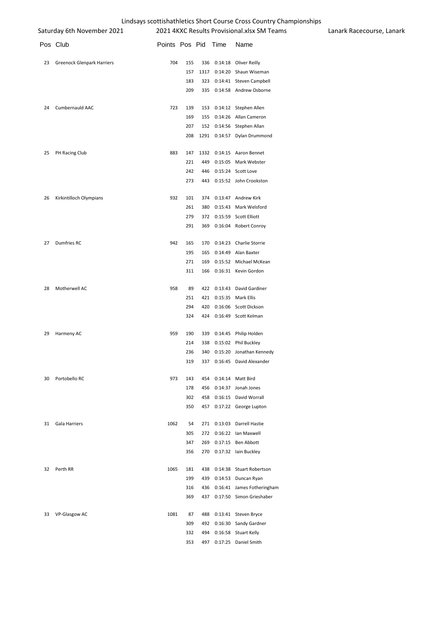|    | Saturday 6th November 2021        |                     |     |     | 2021 4KXC Results Provisional.xlsx SM Teams | Lanark |
|----|-----------------------------------|---------------------|-----|-----|---------------------------------------------|--------|
|    | Pos Club                          | Points Pos Pid Time |     |     | Name                                        |        |
| 23 | <b>Greenock Glenpark Harriers</b> | 704                 | 155 |     | 336 0:14:18 Oliver Reilly                   |        |
|    |                                   |                     | 157 |     | 1317 0:14:20 Shaun Wiseman                  |        |
|    |                                   |                     | 183 |     | 323 0:14:41 Steven Campbell                 |        |
|    |                                   |                     | 209 |     | 335 0:14:58 Andrew Osborne                  |        |
| 24 | Cumbernauld AAC                   | 723                 | 139 |     | 153 0:14:12 Stephen Allen                   |        |
|    |                                   |                     | 169 |     | 155 0:14:26 Allan Cameron                   |        |
|    |                                   |                     | 207 |     | 152 0:14:56 Stephen Allan                   |        |
|    |                                   |                     | 208 |     | 1291 0:14:57 Dylan Drummond                 |        |
| 25 | PH Racing Club                    | 883                 | 147 |     | 1332 0:14:15 Aaron Bennet                   |        |
|    |                                   |                     | 221 | 449 | 0:15:05 Mark Webster                        |        |
|    |                                   |                     | 242 | 446 | 0:15:24 Scott Love                          |        |
|    |                                   |                     | 273 |     | 443 0:15:52 John Crookston                  |        |
| 26 | Kirkintilloch Olympians           | 932                 | 101 |     | 374 0:13:47 Andrew Kirk                     |        |
|    |                                   |                     | 261 |     | 380 0:15:43 Mark Welsford                   |        |
|    |                                   |                     | 279 |     | 372 0:15:59 Scott Elliott                   |        |
|    |                                   |                     | 291 | 369 | 0:16:04 Robert Conroy                       |        |
| 27 | Dumfries RC                       | 942                 | 165 |     | 170 0:14:23 Charlie Storrie                 |        |
|    |                                   |                     | 195 |     | 165 0:14:49 Alan Baxter                     |        |
|    |                                   |                     | 271 | 169 | 0:15:52 Michael McKean                      |        |
|    |                                   |                     | 311 | 166 | 0:16:31 Kevin Gordon                        |        |
| 28 | Motherwell AC                     | 958                 | 89  |     | 422 0:13:43 David Gardiner                  |        |
|    |                                   |                     | 251 |     | 421 0:15:35 Mark Ellis                      |        |
|    |                                   |                     | 294 |     | 420 0:16:06 Scott Dickson                   |        |
|    |                                   |                     | 324 |     | 424 0:16:49 Scott Kelman                    |        |
| 29 | Harmeny AC                        | 959                 | 190 |     | 339 0:14:45 Philip Holden                   |        |
|    |                                   |                     | 214 |     | 338 0:15:02 Phil Buckley                    |        |
|    |                                   |                     | 236 | 340 | 0:15:20 Jonathan Kennedy                    |        |
|    |                                   |                     | 319 |     | 337 0:16:45 David Alexander                 |        |
| 30 | Portobello RC                     | 973                 | 143 | 454 | 0:14:14 Matt Bird                           |        |
|    |                                   |                     | 178 | 456 | 0:14:37 Jonah Jones                         |        |
|    |                                   |                     | 302 | 458 | 0:16:15 David Worrall                       |        |
|    |                                   |                     | 350 | 457 | 0:17:22 George Lupton                       |        |
| 31 | Gala Harriers                     | 1062                | 54  | 271 | 0:13:03 Darrell Hastie                      |        |
|    |                                   |                     | 305 | 272 | 0:16:22 Ian Maxwell                         |        |
|    |                                   |                     | 347 | 269 | 0:17:15 Ben Abbott                          |        |
|    |                                   |                     | 356 |     | 270 0:17:32 Iain Buckley                    |        |
| 32 | Perth RR                          | 1065                | 181 | 438 | 0:14:38 Stuart Robertson                    |        |
|    |                                   |                     | 199 | 439 | 0:14:53 Duncan Ryan                         |        |
|    |                                   |                     | 316 | 436 | 0:16:41 James Fotheringham                  |        |
|    |                                   |                     | 369 | 437 | 0:17:50 Simon Grieshaber                    |        |
| 33 | VP-Glasgow AC                     | 1081                | 87  | 488 | 0:13:41 Steven Bryce                        |        |
|    |                                   |                     | 309 | 492 | 0:16:30 Sandy Gardner                       |        |
|    |                                   |                     | 332 | 494 | 0:16:58 Stuart Kelly                        |        |

497 0:17:25 Daniel Smith